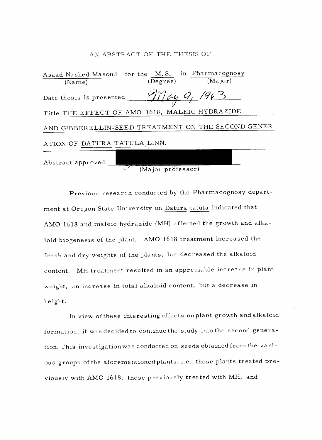#### AN ABSTRACT OF THE THESIS OF

|                              | Asaad Nashed Masoud for the M.S. in Pharmacognosy   |
|------------------------------|-----------------------------------------------------|
| (Name)                       | (Major)<br>(Degree)                                 |
| Date thesis is presented     | lay 9, 1963                                         |
|                              | Title THE EFFECT OF AMO-1618, MALEIC HYDRAZIDE      |
|                              | AND GIBBERELLIN-SEED TREATMENT ON THE SECOND GENER- |
| ATION OF DATURA TATULA LINN. |                                                     |
| Abstract approved            |                                                     |

(Major professor)

Previous research conducted by the Pharmacognosy department at Oregon State University on Datura tatula indicated that AMO 1618 and maleic hydrazide (MII) affected the growth and alkaloid biogenesis of the plant. AMO 1618 treatment increased the fresh and dry weights of the plants, but decreased the alkaloid content. MH treatment resulted in an appreciable increase in plant weight, an increase in total alkaloid content, but a decrease in height.

In view of these interesting effects onplant growth and alkaloid formation, it was decided to continue the study into the second generation. This investigation was conducted on seeds obtained from the various groups of the aforementionedplants, i.e., those plants treated previously with AMO 1618, those previously treated with MH, and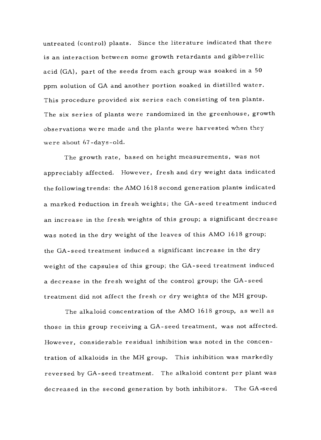untreated (control) plants. Since the literature indicated that there is an interaction between some growth retardants and gibberellic acid (GA), part of the seeds from each group was soaked in a 50 ppm solution of GA and another portion soaked in distilled water. This procedure provided six series each consisting of ten plants. The six series of plants were randomized in the greenhouse, growth observations were made and the plants were harvested when they were about 67-days-old.

The growth rate, based on height measurements, was not appreciably affected. However, fresh and dry weight data indicated the following trends: the AMO 1618 second generation plants indicated a marked reduction in fresh weights; the GA-seed treatment induced an increase in the fresh weights of this group; a significant decrease was noted in the dry weight of the leaves of this AMO 1618 group; the GA -seed treatment induced a significant increase in the dry weight of the capsules of this group; the GA -seed treatment induced a decrease in the fresh weight of the control group; the GA -seed treatment did not affect the fresh or dry weights of the MH group.

The alkaloid concentration of the AMO 1618 group, as well as those in this group receiving a GA -seed treatment, was not affected. However, considerable residual inhibition was noted in the concentration of alkaloids in the MH group. This inhibition was markedly reversed by GA -seed treatment. The alkaloid content per plant was decreased in the second generation by both inhibitors. The GA -seed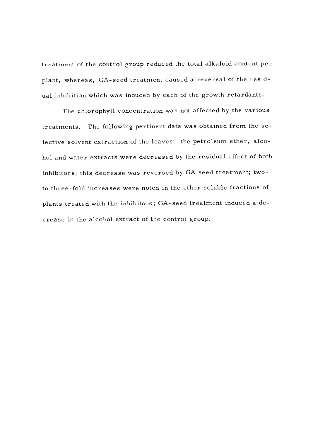treatment of the control group reduced the total alkaloid content per plant, whereas, GA -seed treatment caused a reversal of the residual inhibition which was induced by each of the growth retardants.

The chlorophyll concentration was not affected by the various treatments. The following pertinent data was obtained from the selective solvent extraction of the leaves: the petroleum ether, alcohol and water extracts were decreased by the residual effect of both inhibitors; this decrease was reversed by GA seed treatment; two to three -fold increases were noted in the ether soluble fractions of plants treated with the inhibitors; GA -seed treatment induced a decrease in the alcohol extract of the control group.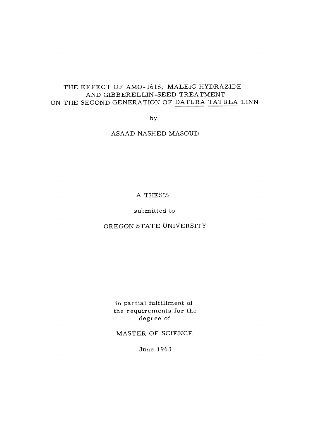# THE EFFECT OF AMO-1618, MALEIC HYDRAZIDE AND GIBBERELLIN -SEED TREATMENT ON THE SECOND GENERATION OF DATURA TATULA LINN

by

ASAAD NASHED MASOUD

# A THESIS

submitted to

OREGON STATE UNIVERSITY

in partial fulfillment of the requirements for the degree of

MASTER OF SCIENCE

June 1963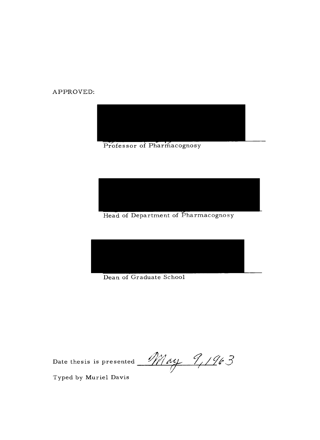APPROVED:



Professor of Pharmacognosy



Head of Department of Pharmacognosy



Dean of Graduate School

Date thesis is presented <u>May</u>  $9/963$ 

Typed by Muriel Davis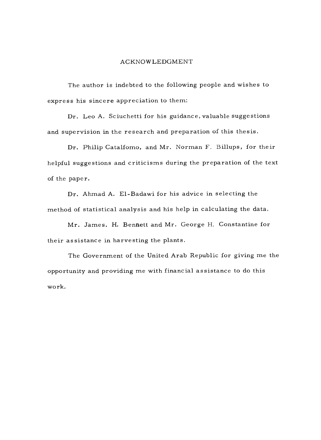#### ACKNOWLEDGMENT

The author is indebted to the following people and wishes to express his sincere appreciation to them:

Dr. Leo A. Sciuchetti for his guidance, valuable suggestions and supervision in the research and preparation of this thesis.

Dr. Philip Catalfomo, and Mr. Norman F. Billups, for their helpful suggestions and criticisms during the preparation of the text of the paper.

Dr. Ahmad A. El-Badawi for his advice in selecting the method of statistical analysis and his help in calculating the data.

Mr. James. H. Bennett and Mr. George H. Constantine for their assistance in harvesting the plants.

The Government of the United Arab Republic for giving me the opportunity and providing me with financial assistance to do this work.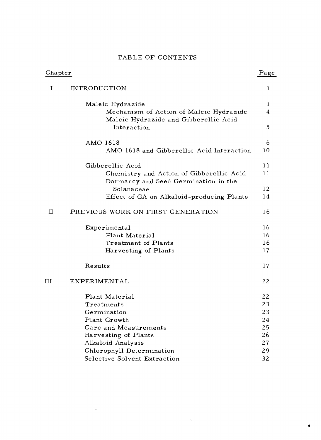# TABLE OF CONTENTS

| Chapter | Page                                                                             |    |
|---------|----------------------------------------------------------------------------------|----|
| 1       | <b>INTRODUCTION</b>                                                              | 1  |
|         | Maleic Hydrazide                                                                 | 1  |
|         | Mechanism of Action of Maleic Hydrazide<br>Maleic Hydrazide and Gibberellic Acid | 4  |
|         | Interaction                                                                      | 5  |
|         | AMO 1618                                                                         | 6  |
|         | AMO 1618 and Gibberellic Acid Interaction                                        | 10 |
|         | Gibberellic Acid                                                                 | 11 |
|         | Chemistry and Action of Gibberellic Acid<br>Dormancy and Seed Germination in the | 11 |
|         | Solanaceae                                                                       | 12 |
|         | Effect of GA on Alkaloid-producing Plants                                        | 14 |
| п       | PREVIOUS WORK ON FIRST GENERATION                                                | 16 |
|         | Experimental                                                                     | 16 |
|         | Plant Material                                                                   | 16 |
|         | Treatment of Plants                                                              | 16 |
|         | Harvesting of Plants                                                             | 17 |
|         | Results                                                                          | 17 |
| Ш       | EXPERIMENTAL                                                                     | 22 |
|         | Plant Material                                                                   | 22 |
|         | Treatments                                                                       | 23 |
|         | Germination                                                                      | 23 |
|         | Plant Growth                                                                     | 24 |
|         | Care and Measurements                                                            | 25 |
|         | Harvesting of Plants                                                             | 26 |
|         | Alkaloid Analysis                                                                | 27 |
|         | Chlorophyll Determination                                                        | 29 |
|         | Selective Solvent Extraction                                                     | 32 |

 $\hat{\mathbf{r}}$ 

 $\mathcal{A}$ 

e

 $\bar{\gamma}$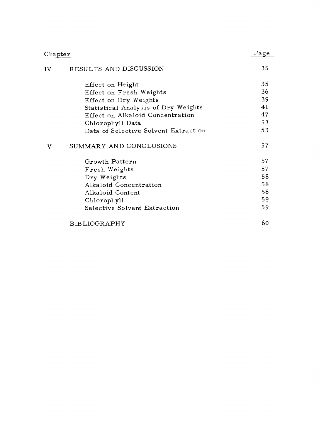| Chapter |                                      | Page |
|---------|--------------------------------------|------|
| IV      | RESULTS AND DISCUSSION               | 35   |
|         | Effect on Height                     | 35   |
|         | Effect on Fresh Weights              | 36   |
|         | Effect on Dry Weights                | 39   |
|         | Statistical Analysis of Dry Weights  | 41   |
|         | Effect on Alkaloid Concentration     | 47   |
|         | Chlorophyll Data                     | 53   |
|         | Data of Selective Solvent Extraction | 53   |
| V       | SUMMARY AND CONCLUSIONS              | 57   |
|         | Growth Pattern                       | 57   |
|         | Fresh Weights                        | 57   |
|         | Dry Weights                          | 58   |
|         | Alkaloid Concentration               | 58   |
|         | Alkaloid Content                     | 58   |
|         | Chlorophyll                          | 59   |
|         | Selective Solvent Extraction         | 59   |
|         | BIBLIOGRAPHY                         | 60   |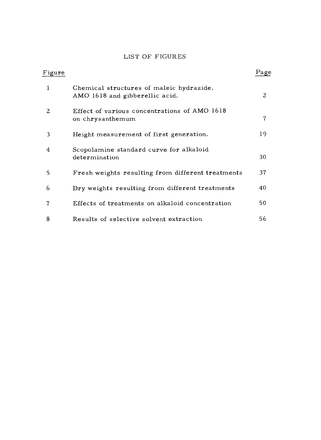# LIST OF FIGURES

| Figure |                                                                            | Page |
|--------|----------------------------------------------------------------------------|------|
| 1      | Chemical structures of maleic hydrazide,<br>AMO 1618 and gibberellic acid. | 2    |
| 2      | Effect of various concentrations of AMO 1618<br>on chrysanthemum           | 7    |
| 3      | Height measurement of first generation.                                    | 19   |
| 4      | Scopolamine standard curve for alkaloid<br>determination                   | 30   |
| 5      | Fresh weights resulting from different treatments                          | 37   |
| 6      | Dry weights resulting from different treatments                            | 40   |
| 7      | Effects of treatments on alkaloid concentration                            | 50   |
| 8      | Results of selective solvent extraction                                    | 56   |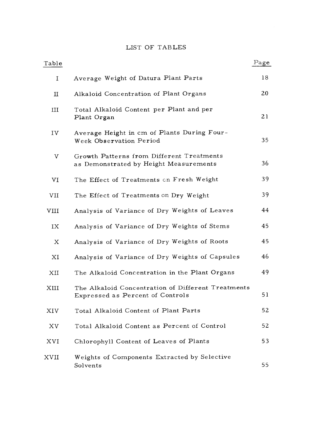# LIST OF TABLES

| Table                |                                                                                        | Page |
|----------------------|----------------------------------------------------------------------------------------|------|
| $\mathbf I$          | Average Weight of Datura Plant Parts                                                   | 18   |
| $\scriptstyle\rm II$ | Alkaloid Concentration of Plant Organs                                                 | 20   |
| III                  | Total Alkaloid Content per Plant and per<br>Plant Organ                                | 21   |
| IV                   | Average Height in cm of Plants During Four-<br>Week Observation Period                 | 35   |
| V                    | Growth Patterns from Different Treatments<br>as Demonstrated by Height Measurements    | 36   |
| VI                   | The Effect of Treatments on Fresh Weight                                               | 39   |
| VII                  | The Effect of Treatments on Dry Weight                                                 | 39   |
| VIII                 | Analysis of Variance of Dry Weights of Leaves                                          | 44   |
| IX                   | Analysis of Variance of Dry Weights of Stems                                           | 45   |
| X                    | Analysis of Variance of Dry Weights of Roots                                           | 45   |
| ΧI                   | Analysis of Variance of Dry Weights of Capsules                                        | 46   |
| ХIJ                  | The Alkaloid Concentration in the Plant Organs                                         | 49   |
| XIII                 | The Alkaloid Concentration of Different Treatments<br>Expressed as Percent of Controls | 51   |
| XIV                  | Total Alkaloid Content of Plant Parts                                                  | 52   |
| XV                   | Total Alkaloid Content as Percent of Control                                           | 52   |
| XVI                  | Chlorophyll Content of Leaves of Plants                                                | 53   |
| $_{\rm XVII}$        | Weights of Components Extracted by Selective<br>Solvents                               | 55   |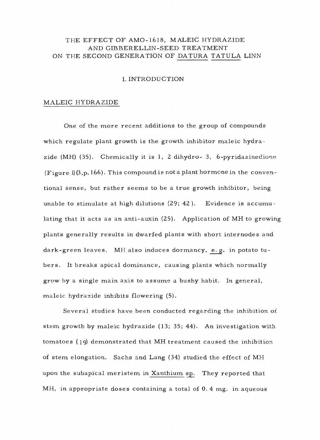# THE EFFECT OF AMO-1618, MALEIC HYDRAZIDE AND GIBBERELLIN -SEED TREATMENT ON THE SECOND GENERATION OF DATURA TATULA LINN

## I. INTRODUCTION

#### MALEIC HYDRAZIDE

One of the more recent additions to the group of compounds which regulate plant growth is the growth inhibitor maleic hydrazide  $(MH)$  (35). Chemically it is 1, 2 dihydro- 3, 6-pyridazinedione (Figure  $\mathbb{I}(3,p.166)$ . This compound is not a plant hormone in the conventional sense, but rather seems to be a true growth inhibitor, being unable to stimulate at high dilutions (29; 42 ). Evidence is accumulating that it acts as an anti-auxin (25). Application of MH to growing plants generally results in dwarfed plants with short internodes and dark -green leaves. MH also induces dormancy, e. g. in potato tubers. It breaks apical dominance, causing plants which normally grow by a single main axis to assume a bushy habit. In general, maleic hydrazide inhibits flowering (5).

Several studies have been conducted regarding the inhibition of stem growth by maleic hydrazide (13; 35; 44). An investigation with tomatoes (19) demonstrated that MH treatment caused the inhibition of stem elongation. Sachs and Lang (34) studied the effect of MH upon the subapical meristem in Xanthium sp. They reported that MH, in appropriate doses containing a total of 0. 4 mg. in aqueous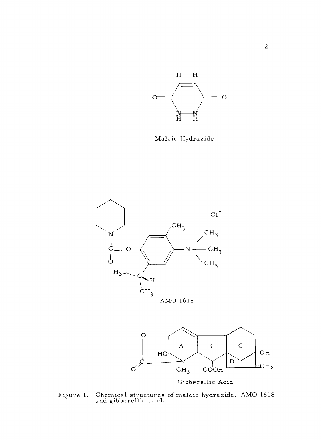

Maleic Hydrazide





Figure 1. Chemical structures of maleic hydrazide, AMO 1618 and gibberellic acid.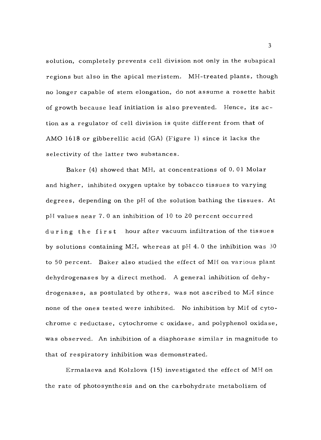solution, completely prevents cell division not only in the subapical regions but also in the apical meristem. MH- treated plants, though no longer capable of stem elongation, do not assume a rosette habit of growth because leaf initiation is also prevented. Hence, its action as a regulator of cell division is quite different from that of AMO 1618 or gibberellic acid (GA) (Figure 1) since it lacks the selectivity of the latter two substances.

Baker (4) showed that MH, at concentrations of O. 01 Molar and higher, inhibited oxygen uptake by tobacco tissues to varying degrees, depending on the pH of the solution bathing the tissues. At pH values near 7. 0 an inhibition of 10 to 20 percent occurred during the first hour after vacuum infiltration of the tissues by solutions containing MH, whereas at pH 4.0 the inhibition was  $30$ to 50 percent. Baker also studied the effect of MH on various plant dehydrogenases by a direct method. A general inhibition of dehydrogenases, as postulated by others, was not ascribed to Mid since none of the ones tested were inhibited. No inhibition by MH of cytochrome c reductase, cytochrome c oxidase, and polyphenol oxidase, was observed. An inhibition of a diaphorase similar in magnitude to that of respiratory inhibition was demonstrated.

Ermalaeva and Kolzlova (15) investigated the effect of MH on the rate of photosynthesis and on the carbohydrate metabolism of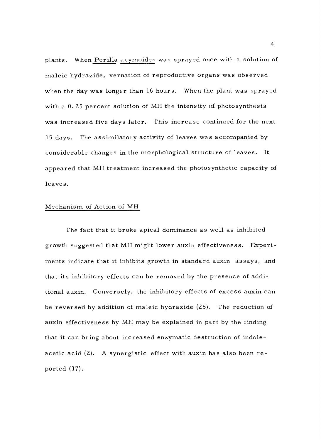plants. When Perilla acymoides was sprayed once with a solution of maleic hydrazide, vernation of reproductive organs was observed when the day was longer than 16 hours. When the plant was sprayed with a O. 25 percent solution of MH the intensity of photosynthesis was increased five days later. This increase continued for the next <sup>15</sup>days. The assimilatory activity of leaves was accompanied by considerable changes in the morphological structure of leaves. It appeared that MH treatment increased the photosynthetic capacity of leaves.

#### Mechanism of Action of MH

The fact that it broke apical dominance as well as inhibited growth suggested that MH might lower auxin effectiveness. Experiments indicate that it inhibits growth in standard auxin assays, and that its inhibitory effects can be removed by the presence of additional auxin. Conversely, the inhibitory effects of excess auxin can be reversed by addition of maleic hydrazide (25). The reduction of auxin effectiveness by MH may be explained in part by the finding that it can bring about increased enzymatic destruction of indoleacetic acid (2). A synergistic effect with auxin has also been reported (17).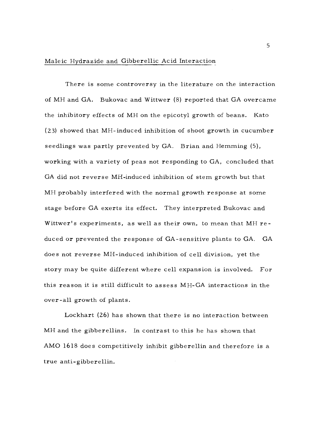# Maleic Hydrazide and Gibberellic Acid Interaction

There is some controversy in the literature on the interaction of MH and GA. Bukovac and Wittwer (8) reported that GA overcame the inhibitory effects of MH on the epicotyl growth of beans. Kato (23) showed that MH- induced inhibition of shoot growth in cucumber seedlings was partly prevented by GA. Brian and Hemming (5), working with a variety of peas not responding to GA, concluded that GA did not reverse MH-induced inhibition of stem growth but that MH probably interfered with the normal growth response at some stage before GA exerts its effect. They interpreted Bukovac and Wittwer's experiments, as well as their own, to mean that MH reduced or prevented the response of GA-sensitive plants to GA. GA does not reverse MH- induced inhibition of cell division, yet the story may be quite different where cell expansion is involved. For this reason it is still difficult to assess MH -GA interactions in the over -all growth of plants.

Lockhart (26) has shown that there is no interaction between MH and the gibberellins. In contrast to this he has shown that AMO 1618 does competitively inhibit gibberellin and therefore is a true anti-gibberellin.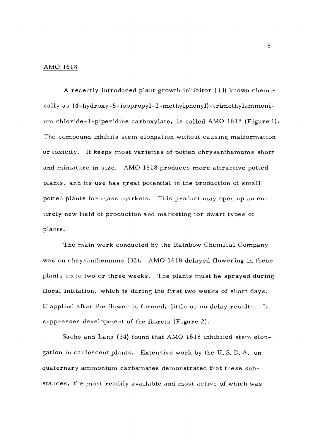#### AMO 1618

A recently introduced plant growth inhibitor (11) known chemically as (4-hydroxy-5-isopropyl-2-methylphenyl)-trimethylammonium chloride -l- piperidine carboxylate, is called AMO 1618 (Figure 1). The compound inhibits stem elongation without causing malformation or toxicity. It keeps most varieties of potted chrysanthemums short and miniature in size. AMO 1618 produces more attractive potted plants, and its use has great potential in the production of small potted plants for mass markets. This product may open up an entirely new field of production and marketing for dwarf types of plants.

The main work conducted by the Rainbow Chemical Company was on chrysanthemums (32). AMO 1618 delayed flowering in these plants up to two or three weeks. The plants must be sprayed during floral initiation, which is during the first two weeks of short days. If applied after the flower is formed, little or no delay results. It suppresses development of the florets (Figure 2).

Sachs and Lang (34) found that AMO 1618 inhibited stem elongation in caulescent plants. Extensive work by the U. S. D. A. on quaternary ammonium carbamates demonstrated that these substances, the most readily available and most active of which was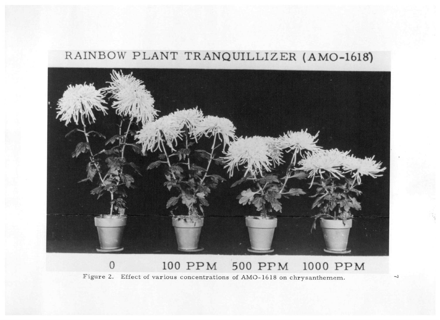# RAINBOW PLANT TRANQUILLIZER (AMO-1618)



<sup>o</sup>100 PPM 500 PPM 1000 PPM

Figure 2. Effect of various concentrations of AMO-1618 on chrysanthemem.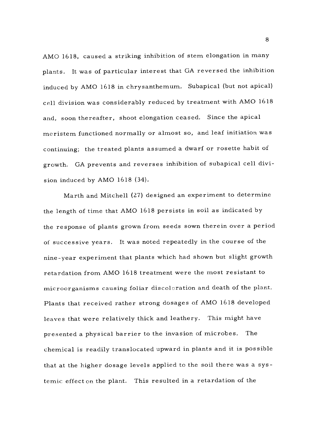AMO 1618, caused a striking inhibition of stem elongation in many plants. It was of particular interest that GA reversed the inhibition induced by AMO 1618 in chrysanthemum. Subapical (but not apical) cell division was considerably reduced by treatment with AMO 1618 and, soon thereafter, shoot elongation ceased. Since the apical meristem functioned normally or almost so, and leaf initiation was continuing; the treated plants assumed a dwarf or rosette habit of growth. GA prevents and reverses inhibition of subapical cell division induced by AMO 1618 (34).

Marth and Mitchell (27) designed an experiment to determine the length of time that AMO 1618 persists in soil as indicated by the response of plants grown from seeds sown therein over a period of successive years. It was noted repeatedly in the course of the nine -year experiment that plants which had shown but slight growth retardation from AMO 1618 treatment were the most resistant to microorganisms causing foliar discoloration and death of the plant. Plants that received rather strong dosages of AMO 1618 developed leaves that were relatively thick and leathery. This might have presented a physical barrier to the invasion of microbes. The chemical is readily translocated upward in plants and it is possible that at the higher dosage levels applied to the soil there was a systemic effect on the plant. This resulted in a retardation of the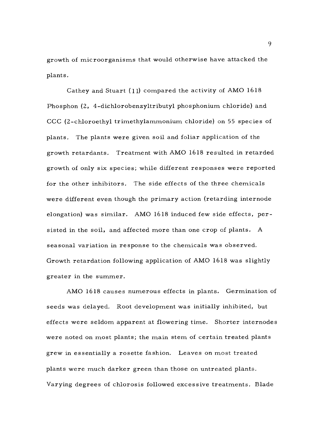growth of microorganisms that would otherwise have attacked the plants.

Cathey and Stuart (11) compared the activity of AMO 1618 Phosphon (2, 4- dichlorobenzyltributyl phosphonium chloride) and CCC (2- chloroethyl trimethylammonium chloride) on 55 species of plants. The plants were given soil and foliar application of the growth retardants. Treatment with AMO 1618 resulted in retarded growth of only six species; while different responses were reported for the other inhibitors. The side effects of the three chemicals were different even though the primary action (retarding internode elongation) was similar. AMO 1618 induced few side effects, persisted in the soil, and affected more than one crop of plants. A seasonal variation in response to the chemicals was observed. Growth retardation following application of AMO 1618 was slightly greater in the summer.

AMO 1618 causes numerous effects in plants. Germination of seeds was delayed. Root development was initially inhibited, but effects were seldom apparent at flowering time. Shorter internodes were noted on most plants; the main stem of certain treated plants grew in essentially a rosette fashion. Leaves on most treated plants were much darker green than those on untreated plants. Varying degrees of chlorosis followed excessive treatments. Blade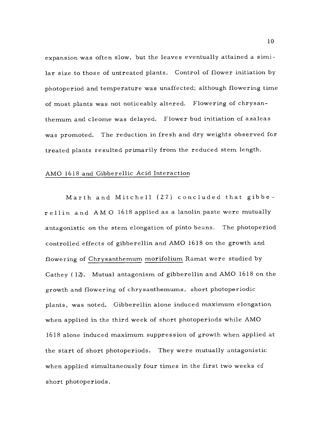expansion was often slow, but the leaves eventually attained a similar size to those of untreated plants. Control of flower initiation by photoperiod and temperature was unaffected; although flowering time of most plants was not noticeably altered. Flowering of chrysanthemum and cleome was delayed. Flower bud initiation of azaleas was promoted. The reduction in fresh and dry weights observed for treated plants resulted primarily from the reduced stem length.

#### AMO 1618 and Gibberellic Acid Interaction

Marth and Mitchell (27) concluded that gibberellin and AMO 1618 applied as a lanolin paste were mutually antagonistic on the stem elongation of pinto beans. The photoperiod controlled effects of gibberellin and AMO 1618 on the growth and flowering of Chrysanthemum morifolium Ramat were studied by Cathey (12). Mutual antagonism of gibberellin and AMO 1618 on the growth and flowering of chrysanthemums, short photoperiodic plants, was noted. Gibberellin alone induced maximum elongation when applied in the third week of short photoperiods while AMO 1618 alone induced maximum suppression of growth when applied at the start of short photoperiods. They were mutually antagonistic when applied simultaneously four times in the first two weeks of short photoperiods.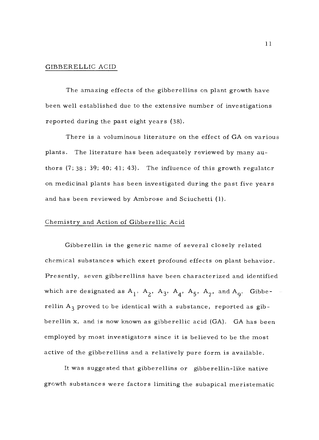#### GIBBERELLIC ACID

The amazing effects of the gibberellins on plant growth have been well established due to the extensive number of investigations reported during the past eight years (38).

There is a voluminous literature on the effect of GA on various plants. The literature has been adequately reviewed by many authors  $(7; 38; 39; 40; 41; 43)$ . The influence of this growth regulator on medicinal plants has been investigated during the past five years and has been reviewed by Ambrose and Sciuchetti (1).

#### Chemistry and Action of Gibberellic Acid

Gibberellin is the generic name of several closely related chemical substances which exert profound effects on plant behavior. Presently, seven gibberellins have been characterized and identified which are designated as  $A_1$ ,  $A_2$ ,  $A_3$ ,  $A_4$ ,  $A_5$ ,  $A_7$ , and  $A_9$ . Gibberellin  $A_3$  proved to be identical with a substance, reported as gibberellin x, and is now known as gibberellic acid (GA). GA has been employed by most investigators since it is believed to be the most active of the gibberellins and a relatively pure form is available.

It was suggested that gibberellins or gibberellin -like native growth substances were factors limiting the subapical meristematic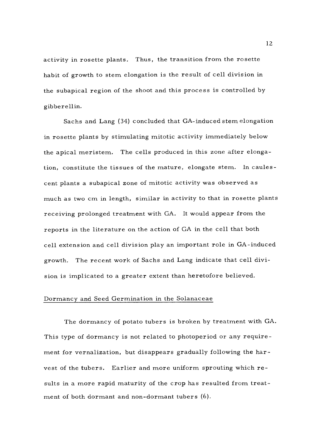activity in rosette plants. Thus, the transition from the rosette habit of growth to stem elongation is the result of cell division in the subapical region of the shoot and this process is controlled by gibberellin.

Sachs and Lang (34) concluded that GA- induced stem elongation in rosette plants by stimulating mitotic activity immediately below the apical meristem. The cells produced in this zone after elongation, constitute the tissues of the mature, elongate stem. In caulescent plants a subapical zone of mitotic activity was observed as much as two cm in length, similar in activity to that in rosette plants receiving prolonged treatment with GA. It would appear from the reports in the literature on the action of GA in the cell that both cell extension and cell division play an important role in GA- induced growth. The recent work of Sachs and Lang indicate that cell division is implicated to a greater extent than heretofore believed.

# Dormancy and Seed Germination in the Solanaceae

The dormancy of potato tubers is broken by treatment with GA. This type of dormancy is not related to photoperiod or any requirement for vernalization, but disappears gradually following the harvest of the tubers. Earlier and more uniform sprouting which results in a more rapid maturity of the crop has resulted from treatment of both dormant and non-dormant tubers (6).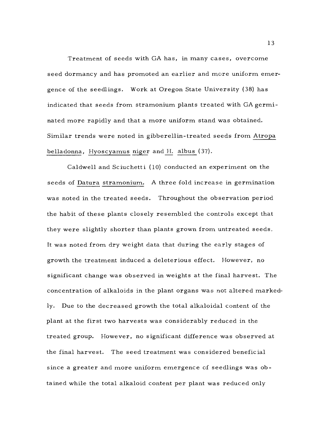Treatment of seeds with GA has, in many cases, overcome seed dormancy and has promoted an earlier and more uniform emergence of the seedlings. Work at Oregon State University (38) has indicated that seeds from stramonium plants treated with GA germinated more rapidly and that a more uniform stand was obtained. Similar trends were noted in gibberellin- treated seeds from Atropa belladonna, Hyoscyamus niger and H. albus (37).

Caldwell and Sciuchetti (10) conducted an experiment on the seeds of Datura stramonium. A three fold increase in germination was noted in the treated seeds. Throughout the observation period the habit of these plants closely resembled the controls except that they were slightly shorter than plants grown from untreated seeds. It was noted from dry weight data that during the early stages of growth the treatment induced a deleterious effect. However, no significant change was observed in weights at the final harvest. The concentration of alkaloids in the plant organs was not altered markedly. Due to the decreased growth the total alkaloidal content of the plant at the first two harvests was considerably reduced in the treated group. However, no significant difference was observed at the final harvest. The seed treatment was considered beneficial since a greater and more uniform emergence of seedlings was obtained while the total alkaloid content per plant was reduced only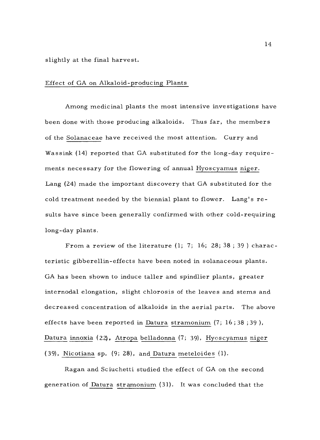slightly at the final harvest.

#### Effect of GA on Alkaloid -producing Plants

Among medicinal plants the most intensive investigations have been done with those producing alkaloids. Thus far, the members of the Solanaceae have received the most attention. Curry and Wassink (14) reported that GA substituted for the long-day requirements necessary for the flowering of annual Hyoscyamus niger. Lang (24) made the important discovery that GA substituted for the cold treatment needed by the biennial plant to flower. Lang's results have since been generally confirmed with other cold-requiring long-day plants.

From a review of the literature  $(1; 7; 16; 28; 38; 39)$  characteristic gibberellin- effects have been noted in solanaceous plants. GA has been shown to induce taller and spindlier plants, greater internodal elongation, slight chlorosis of the leaves and stems and decreased concentration of alkaloids in the aerial parts. The above effects have been reported in Datura stramonium (7; 16;38 ;39 ), Datura innoxia (22), Atropa belladonna (7; 39), Hyoscyamus niger (39), Nicotiana sp. (9; 28), and Datura meteloides (1).

Ragan and Sciuchetti studied the effect of GA on the second generation of Datura stramonium (31). It was concluded that the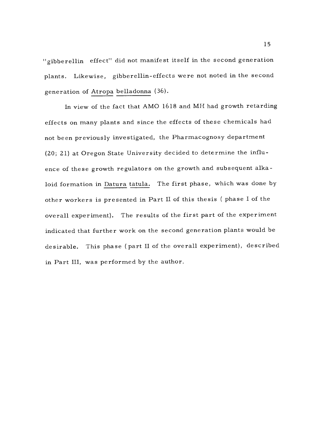"gibberellin effect" did not manifest itself in the second generation plants. Likewise, gibberellin- effects were not noted in the second generation of Atropa belladonna (36).

In view of the fact that AMO 1618 and MII had growth retarding effects on many plants and since the effects of these chemicals had not been previously investigated, the Pharmacognosy department (20; 21) at Oregon State University decided to determine the influence of these growth regulators on the growth and subsequent alkaloid formation in Datura tatula. The first phase, which was done by other workers is presented in Part II of this thesis ( phase I of the overall experiment). The results of the first part of the experiment indicated that further work on the second generation plants would be desirable. This phase (part II of the overall experiment), described in Part III, was performed by the author.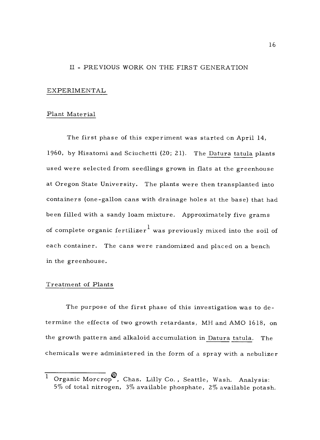## II - PREVIOUS WORK ON THE FIRST GENERATION

#### EXPERIMENTAL

#### Plant Material

The first phase of this experiment was started on April 14, 1960, by Hisatomi and Sciuchetti (20; 21). The Datura tatula plants used were selected from seedlings grown in flats at the greenhouse at Oregon State University. The plants were then transplanted into containers (one-gallon cans with drainage holes at the base) that had been filled with a sandy loam mixture. Approximately five grams of complete organic fertilizer<sup>1</sup> was previously mixed into the soil of each container. The cans were randomized and placed on a bench in the greenhouse.

#### Treatment of Plants

The purpose of the first phase of this investigation was to determine the effects of two growth retardants, MH and AMO 1618, on the growth pattern and alkaloid accumulation in Datura tatula. The chemicals were administered in the form of a spray with a nebulizer

Organic Morcrop<sup>®</sup>, Chas. Lilly Co., Seattle, Wash. Analysis: 5% of total nitrogen,  $3\%$  available phosphate,  $2\%$  available potash.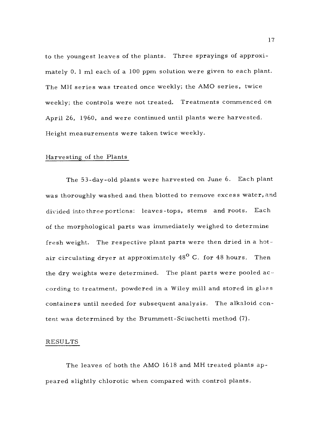to the youngest leaves of the plants. Three sprayings of approximately 0. 1 ml each of a 100 ppm solution were given to each plant. The MH series was treated once weekly; the AMO series, twice weekly; the controls were not treated. Treatments commenced on April 26, 1960, and were continued until plants were harvested. Height measurements were taken twice weekly.

#### Harvesting of the Plants

The 53- day -old plants were harvested on June 6. Each plant was thoroughly washed and then blotted to remove excess water, and divided into three portions: leaves -tops, stems and roots. Each of the morphological parts was immediately weighed to determine fresh weight. The respective plant parts were then dried in a hotair circulating dryer at approximately 48<sup>0</sup> C. for 48 hours. Then the dry weights were determined. The plant parts were pooled according to treatment, powdered in a Wiley mill and stored in glass containers until needed for subsequent analysis. The alkaloid content was determined by the Brummett -Sciuchetti method (7).

#### RESULTS

The leaves of both the AMO 1618 and MH treated plants appeared slightly chlorotic when compared with control plants.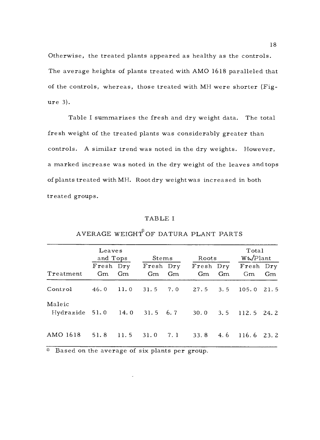Otherwise, the treated plants appeared as healthy as the controls. The average heights of plants treated with AMO 1618 paralleled that of the controls, whereas, those treated with MH were shorter (Figure 3).

Table I summarizes the fresh and dry weight data. The total fresh weight of the treated plants was considerably greater than controls. A similar trend was noted in the dry weights. However, a marked increase was noted in the dry weight of the leaves and tops of plants treated with MH. Root dry weight was increased in both treated groups.

#### TABLE I

|                                        | Leaves<br>and Tops |    | Stems           |    | Roots                             |      | Total<br>$Wt$ ./Plant     |      |
|----------------------------------------|--------------------|----|-----------------|----|-----------------------------------|------|---------------------------|------|
| Treatment                              | Fresh Dry<br>Gm    | Gm | Fresh Dry<br>Gm | Gm | Gm                                | - Gm | Fresh Dry Fresh Dry<br>Gm | Gm   |
| Control                                |                    |    |                 |    | 46.0 11.0 31.5 7.0 27.5 3.5 105.0 |      |                           | 21.5 |
| Maleic<br>Hydrazide 51.0 14.0 31.5 6.7 |                    |    |                 |    | $30.0$ $3.5$ $112.5$ $24.2$       |      |                           |      |
| AMO 1618                               | 51.8 11.5 31.0 7.1 |    |                 |    | $33.8$ 4.6                        |      | $116.6$ 23.2              |      |

# AVERAGE WEIGHT OF DATURA PLANT PARTS

Based on the average of six plants per group.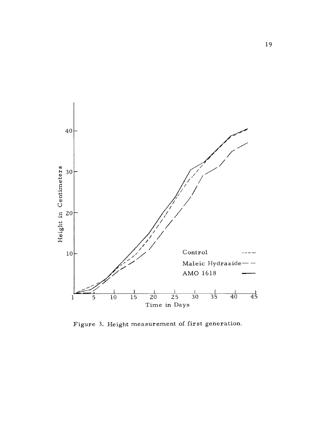

Figure 3. Height measurement of first generation.

 $\hat{\boldsymbol{\beta}}$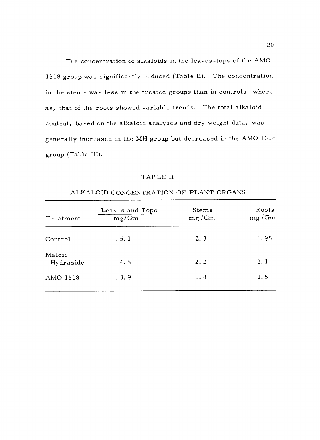The concentration of alkaloids in the leaves -tops of the AMO 1618 group was significantly reduced (Table II). The concentration in the stems was less in the treated groups than in controls, whereas, that of the roots showed variable trends. The total alkaloid content, based on the alkaloid analyses and dry weight data, was generally increased in the MH group but decreased in the AMO 1618 group (Table III).

## TABLE II

| Treatment           | Leaves and Tops<br>mg/Gm | Stems<br>mg/Gm | Roots<br>$mg/\overline{Gm}$ |
|---------------------|--------------------------|----------------|-----------------------------|
| Control             | .5.1                     | 2.3            | 1.95                        |
| Maleic<br>Hydrazide | 4.8                      | 2.2            | 2.1                         |
| AMO 1618            | 3.9                      | 1.8            | 1.5                         |

# ALKALOID CONCENTRATION OF PLANT ORGANS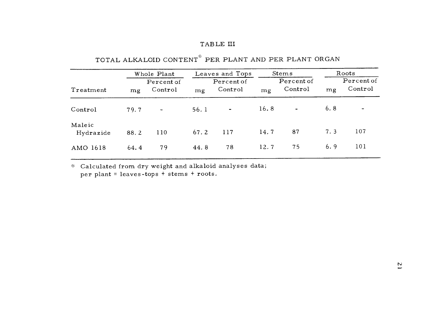# TABLE III

|                     | Whole Plant                 |                          | Leaves and Tops             |                          | <b>Stems</b>                |                | Roots |                              |  |
|---------------------|-----------------------------|--------------------------|-----------------------------|--------------------------|-----------------------------|----------------|-------|------------------------------|--|
| Treatment           | Percent of<br>Control<br>mg |                          | Percent of<br>Control<br>mg |                          | Percent of<br>Control<br>mg |                | mg    | Percent of<br>Control        |  |
| Control             | 79.7                        | $\overline{\phantom{a}}$ | 56.1                        | $\overline{\phantom{a}}$ | 16.8                        | $\blacksquare$ | 6.8   | $\qquad \qquad \blacksquare$ |  |
| Maleic<br>Hydrazide | 88.2                        | 110                      | 67.2                        | 117                      | 14.7                        | 87             | 7.3   | 107                          |  |
| AMO 1618            | 64.4                        | 79                       | 44.8                        | 78                       | 12.7                        | 75             | 6.9   | 101                          |  |

# TOTAL ALKALOID CONTENT<sup>\*</sup> PER PLANT AND PER PLANT ORGAN

 $\ast$  -Calculated from dry weight and alkaloid analyses data; per plant = leaves-tops + stems + roots.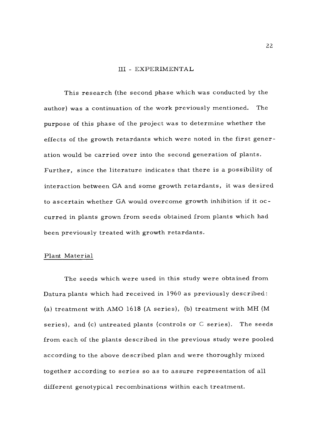#### III - EXPERIMENTAL

This research (the second phase which was conducted by the author) was a continuation of the work previously mentioned. The purpose of this phase of the project was to determine whether the effects of the growth retardants which were noted in the first generation would be carried over into the second generation of plants. Further, since the literature indicates that there is a possibility of interaction between GA and some growth retardants, it was desired to ascertain whether GA would overcome growth inhibition if it occurred in plants grown from seeds obtained from plants which had been previously treated with growth retardants.

#### Plant Material

The seeds which were used in this study were obtained from Datura plants which had received in 1960 as previously described: (a) treatment with AMO 1618 (A series), (b) treatment with MH (M series), and (c) untreated plants (controls or  $C$  series). The seeds from each of the plants described in the previous study were pooled according to the above described plan and were thoroughly mixed together according to series so as to assure representation of all different genotypical recombinations within each treatment.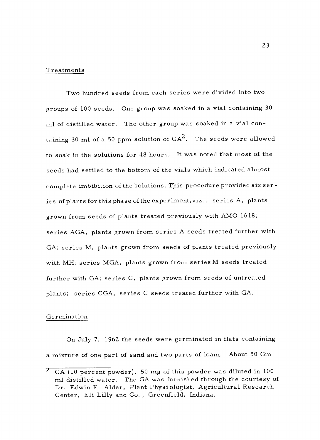#### Treatments

Two hundred seeds from each series were divided into two groups of 100 seeds. One group was soaked in a vial containing <sup>30</sup> ml of distilled water. The other group was soaked in a vial containing 30 ml of a 50 ppm solution of  $GA^2$ . The seeds were allowed to soak in the solutions for 48 hours. It was noted that most of the seeds had settled to the bottom of the vials which indicated almost complete imbibition of the solutions. This procedure provided six series of plants for this phase of the experiment,viz. , series A, plants grown from seeds of plants treated previously with AMO 1618; series AGA, plants grown from series A seeds treated further with GA; series M, plants grown from seeds of plants treated previously with MH; series MGA, plants grown from series M seeds treated further with GA; series C, plants grown from seeds of untreated plants; series CGA, series C seeds treated further with GA.

#### Germination

On July 7, 1962 the seeds were germinated in flats containing a mixture of one part of sand and two parts of loam. About 50 Gm

 $\overline{C}$  GA (10 percent powder), 50 mg of this powder was diluted in 100 ml distilled water. The GA was furnished through the courtesy of Dr. Edwin F. Alder, Plant Physiologist, Agricultural Research Center, Eli Lilly and Co. , Greenfield, Indiana.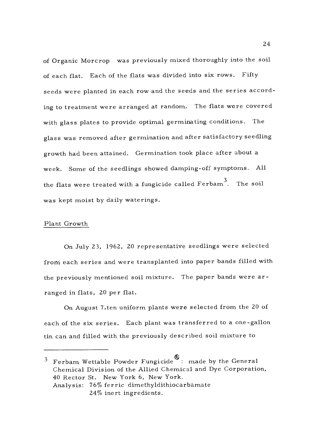of Organic Morcrop was previously mixed thoroughly into the soil of each flat. Each of the flats was divided into six rows. Fifty seeds were planted in each row and the seeds and the series according to treatment were arranged at random. The flats were covered with glass plates to provide optimal germinating conditions. The glass was removed after germination and after satisfactory seedling growth had been attained. Germination took place after about a week. Some of the seedlings showed damping -off symptoms. All the flats were treated with a fungicide called  $Ferbam^3$ . The soil was kept moist by daily waterings.

## Plant Growth

On July 23, 1962, 20 representative seedlings were selected from each series and were transplanted into paper bands filled with the previously mentioned soil mixture. The paper bands were arranged in flats, 20 per flat.

On August 7,ten uniform plants were selected from the 20 of each of the six series. Each plant was transferred to a one-gallon tin can and filled with the previously described soil mixture to

 $3$  Ferbam Wettable Powder Fungicide  $\infty$ : made by the General Chemical Division of the Allied Chemical and Dye Corporation, 40 Rector St. New York 6, New York. Analysis: 76% ferric dimethyldithiocarbamate 24% inert ingredients.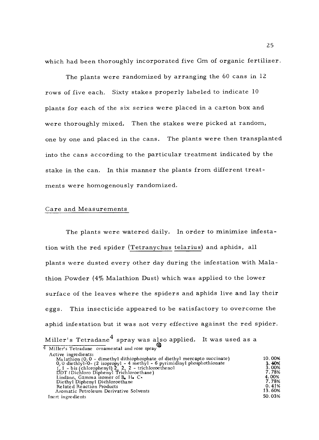which had been thoroughly incorporated five Gm of organic fertilizer.

The plants were randomized by arranging the 60 cans in <sup>12</sup> rows of five each. Sixty stakes properly labeled to indicate <sup>10</sup> plants for each of the six series were placed in a carton box and were thoroughly mixed. Then the stakes were picked at random, one by one and placed in the cans. The plants were then transplanted into the cans according to the particular treatment indicated by the stake in the can. In this manner the plants from different treatments were homogenously randomized.

## Care and Measurements

The plants were watered daily. In order to minimize infestation with the red spider (Tetranychus telarius) and aphids, all plants were dusted every other day during the infestation with Malathion Powder (4% Malathion Dust) which was applied to the lower surface of the leaves where the spiders and aphids live and lay their eggs. This insecticide appeared to be satisfactory to overcome the aphid infestation but it was not very effective against the red spider. Miller's Tetradane<sup>4</sup> spray was also applied. It was used as a 4 Miller's Tetradane ornamental and rose spray

| Active ingredients:                                                         |        |
|-----------------------------------------------------------------------------|--------|
| $M3$ lathion (0.0 - dimethyl dithiophosphate of diethyl mercapto succinate) | 10.00% |
| $0, 0$ diethlyl-0- (2 isopropyl - 4 methyl - 6 pyrimidinyl phosphothionate  | 3.40%  |
| $1, 1$ - bis (chlorophenyl) 2, 2, 2 - trichloroethenol                      | 3.00%  |
| DDT (Dichloro Diphenyl Trichloroethane)                                     | 7.78%  |
| Lindane, Gamma isomer of $B_{\bullet}$ H. C.                                | 4.00%  |
| Diethyl Diphenyl Dichloroethane                                             | 7.78%  |
| Related Reaction Products                                                   | 0.41%  |
| Aromatic Petroleum Derivative Solvents                                      | 13.60% |
| Inert ingredients                                                           | 50.03% |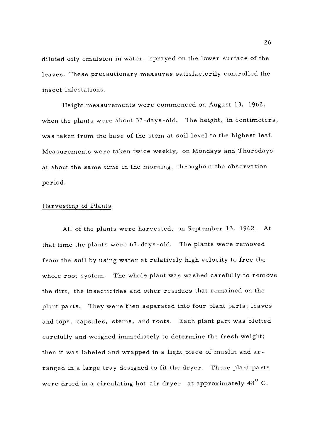diluted oily emulsion in water, sprayed on the lower surface of the leaves. These precautionary measures satisfactorily controlled the insect infestations.

Height measurements were commenced on August 13, 1962, when the plants were about 37-days-old. The height, in centimeters, was taken from the base of the stem at soil level to the highest leaf. Measurements were taken twice weekly, on Mondays and Thursdays at about the same time in the morning, throughout the observation period.

## Harvesting of Plants

All of the plants were harvested, on September 13, 1962. At that time the plants were 67- days -old. The plants were removed from the soil by using water at relatively high velocity to free the whole root system. The whole plant was washed carefully to remove the dirt, the insecticides and other residues that remained on the plant parts. They were then separated into four plant parts; leaves and tops, capsules, stems, and roots. Each plant part was blotted carefully and weighed immediately to determine the fresh weight; then it was labeled and wrapped in a light piece of muslin and arranged in a large tray designed to fit the dryer. These plant parts were dried in a circulating hot-air dryer at approximately  $48^{\circ}$  C.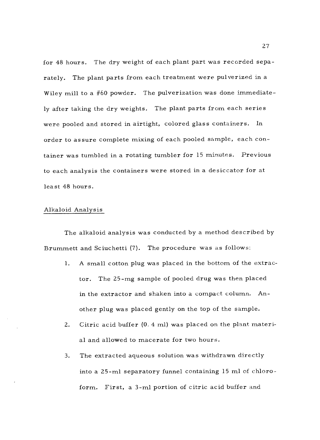for 48 hours. The dry weight of each plant part was recorded separately. The plant parts from each treatment were pulverized in a Wiley mill to a #60 powder. The pulverization was done immediately after taking the dry weights. The plant parts from each series were pooled and stored in airtight, colored glass containers. In order to assure complete mixing of each pooled sample, each container was tumbled in a rotating tumbler for 15 minutes. Previous to each analysis the containers were stored in a desiccator for at least 48 hours.

#### Alkaloid Analysis

The alkaloid analysis was conducted by a method described by Brummett and Sciuchetti (7). The procedure was as follows:

- 1. A small cotton plug was placed in the bottom of the extractor. The 25 -mg sample of pooled drug was then placed in the extractor and shaken into a compact column. Another plug was placed gently on the top of the sample.
- 2. Citric acid buffer (0. 4 ml) was placed on the plant material and allowed to macerate for two hours.
- 3. The extracted aqueous solution was withdrawn directly into a 25 -ml separatory funnel containing 15 ml of chloroform. First, a 3-ml portion of citric acid buffer and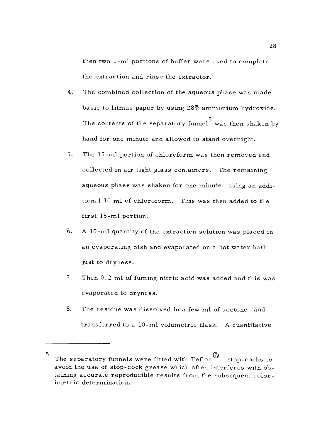then two 1-ml portions of buffer were used to complete the extraction and rinse the extractor.

- 4. The combined collection of the aqueous phase was made basic to litmus paper by using 28% ammonium hydroxide. The contents of the separatory funnel was then shaken by hand for one minute and allowed to stand overnight.
- 5. The 15 -ml portion of chloroform was then removed and collected in air tight glass containers. The remaining aqueous phase was shaken for one minute, using an additional 10 ml of chloroform. This was then added to the first 15 -ml portion.
- 6. A 10 -ml quantity of the extraction solution was placed in an evaporating dish and evaporated on a hot water bath just to dryness.
- 7. Then 0. 2 ml of fuming nitric acid was added and this was evaporated to dryness.
- 8. The residue was dissolved in a few ml of acetone, and transferred to a 10 -ml volumetric flask. A quantitative

<sup>5</sup> The separatory funnels were fitted with Teflon stop-cocks to avoid the use of stop -cock grease which often interferes with obtaining accurate reproducible results from the subsequent color-<br>imetric determination.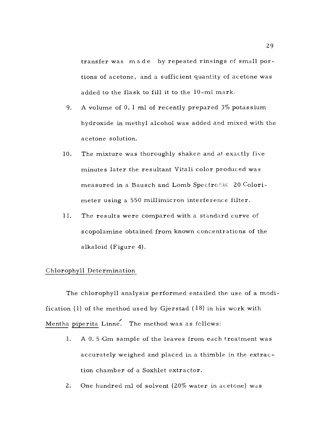transfer was made by repeated rinsings of small portions of acetone, and a sufficient quantity of acetone was added to the flask to fill it to the 10 -ml mark.

- 9. A volume of O. 1 ml of recently prepared 3% potassium hydroxide in methyl alcohol was added and mixed with the acetone solution.
- 10. The mixture was thoroughly shaken and at exactly five minutes later the resultant Vitali color produced was measured in a Bausch and Lomb Spectronic 20 Colorimeter using a 550 millimicron interference filter.
- 11. The results were compared with a standard curve of scopolamine obtained from known concentrations of the alkaloid (Figure 4).

## Chlorophyll Determination

The chlorophyll analysis performed entailed the use of a modification (1) of the method used by Gjerstad (18) in his work with Mentha piperita Linne. The method was as follows:

- 1. A 0. 5-Gm sample of the leaves from each treatment was accurately weighed and placed in a thimble in the extraction chamber of a Soxhlet extractor.
- 2. One hundred ml of solvent (20% water in acetone) was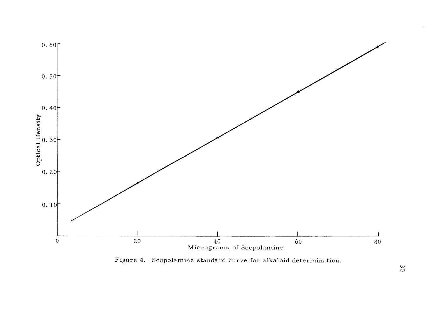

Figure 4. Scopolamine standard curve for alkaloid determination.

 $\overline{30}$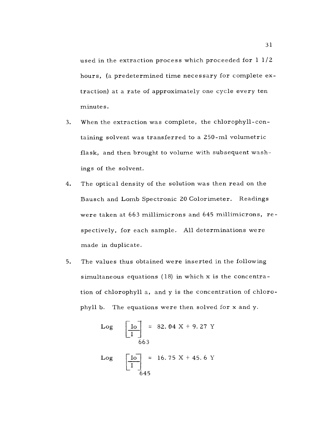used in the extraction process which proceeded for 1 1/2 hours, (a predetermined time necessary for complete extraction) at a rate of approximately one cycle every ten minutes.

- 3. When the extraction was complete, the chlorophyll-con taining solvent was transferred to a 250 -ml volumetric flask, and then brought to volume with subsequent washings of the solvent.
- 4. The optical density of the solution was then read on the Bausch and Lomb Spectronic 20 Colorimeter. Readings were taken at 663 millimicrons and 645 millimicrons, respectively, for each sample. All determinations were made in duplicate.
- 5. The values thus obtained were inserted in the following simultaneous equations (18) in which x is the concentration of chlorophyll a, and y is the concentration of chlorophyll b. The equations were then solved for x and y.

Log 
$$
\left[\frac{Io}{I}\right]
$$
 = 82.04 X + 9.27 Y  
663  
Log  $\left[\frac{Io}{I}\right]$  = 16.75 X + 45.6 Y  
645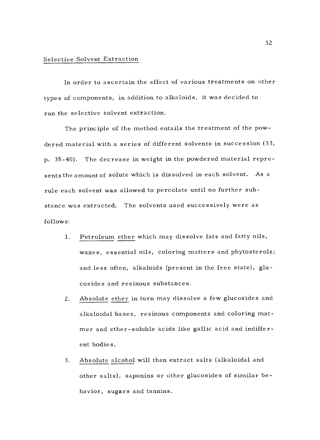### Selective Solvent Extraction

In order to ascertain the effect of various treatments on other types of components, in addition to alkaloids, it was decided to run the selective solvent extraction.

The principle of the method entails the treatment of the powdered material with a series of different solvents in succession (33, p. 35 -40). The decrease in weight in the powdered material represents the amount of solute which is dissolved in each solvent. As a rule each solvent was allowed to percolate until no further substance was extracted. The solvents used successively were as follows:

- I. Petroleum ether which may dissolve fats and fatty oils, waxes, essential oils, coloring matters and phytosterols; and less often, alkaloids (present in the free state), glucosides and resinous substances.
- 2. Absolute ether in turn may dissolve a few glucosides and alkaloidal bases, resinous components and coloring mat mer and ether - soluble acids like gallic acid and indifferent bodies.
- 3. Absolute alcohol will then extract salts (alkaloidal and other salts), saponins or other glucosides of similar behavior, sugars and tannins.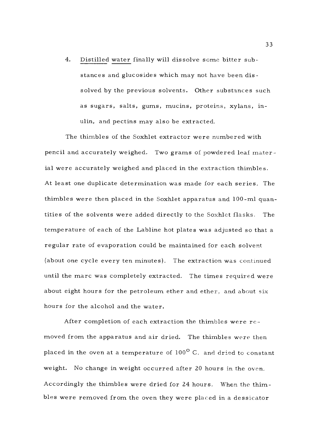4. Distilled water finally will dissolve some bitter substances and glucosides which may not have been dissolved by the previous solvents. Other substances such as sugars, salts, gums, mucins, proteins, xylans, inulin, and pectins may also be extracted.

The thimbles of the Soxhlet extractor were numbered with pencil and accurately weighed. Two grams of powdered leaf material were accurately weighed and placed in the extraction thimbles, At least one duplicate determination was made for each series. The thimbles were then placed in the Soxhlet apparatus and 100 -ml quantities of the solvents were added directly to the Soxhlet flasks. The temperature of each of the Labline hot plates was adjusted so that a regular rate of evaporation could be maintained for each solvent (about one cycle every ten minutes). The extraction was continued until the marc was completely extracted. The times required were about eight hours for the petroleum ether and ether, and about six hours for the alcohol and the water.

After completion of each extraction the thimbles were removed from the apparatus and air dried. The thimbles were then placed in the oven at a temperature of  $100^{\circ}$  C. and dried to constant weight. No change in weight occurred after 20 hours in the oven. Accordingly the thimbles were dried for 24 hours. When the thimbles were removed from the oven they were placed in a dessicator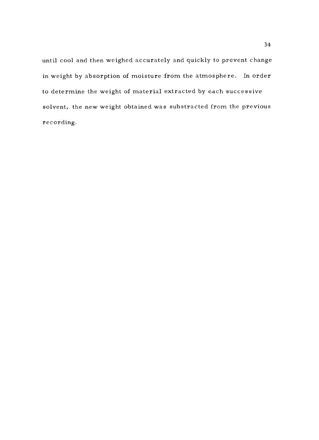until cool and then weighed accurately and quickly to prevent change in weight by absorption of moisture from the atmosphere. In order to determine the weight of material extracted by each successive solvent, the new weight obtained was substracted from the previous recording.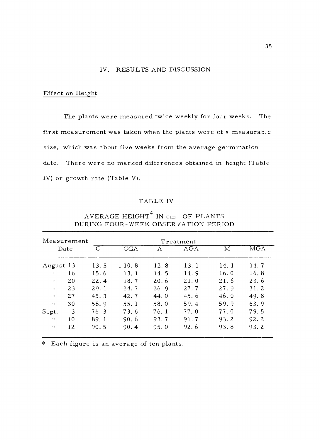## IV. RESULTS AND DISCUSSION

## Effect on Height

The plants were measured twice weekly for four weeks. The first measurement was taken when the plants were of a measurable size, which was about five weeks from the average germination date. There were no marked differences obtained in height (Table IV) or growth rate (Table V).

## TABLE IV

| Measurement    |    |               |       |      | Treatment |      |                         |
|----------------|----|---------------|-------|------|-----------|------|-------------------------|
| Date           |    | $\mathcal{C}$ | CGA   | А    | AGA       | М    | $\overline{\text{MGA}}$ |
| August 13      |    | 13.5          | .10.8 | 12.8 | 13.1      | 14.1 | 14.7                    |
| $\mathbf{H}$   | 16 | 15.6          | 13.1  | 14.5 | 14.9      | 16.0 | 16.8                    |
| 11             | 20 | 22.4          | 18.7  | 20.6 | 21.0      | 21.6 | 23.6                    |
| $\blacksquare$ | 23 | 29.1          | 24.7  | 26.9 | 27.7      | 27.9 | 31.2                    |
| $\blacksquare$ | 27 | 45.3          | 42.7  | 44.0 | 45.6      | 46.0 | 49.8                    |
| 11             | 30 | 58.9          | 55.1  | 58.0 | 59.4      | 59.9 | 63.9                    |
| Sept.          | 3  | 76.3          | 73.6  | 76.1 | 77.0      | 77.0 | 79.5                    |
| 11             | 10 | 89.1          | 90.6  | 93.7 | 91.7      | 93.2 | 92.2                    |
| $\mathbf{H}$   | 12 | 90.5          | 90.4  | 95.0 | 92.6      | 93.8 | 93.2                    |

AVERAGE HEIGHT $*$  IN cm OF PLANTS DURING FOUR -WEEK OBSERVATION PERIOD

Each figure is an average of ten plants.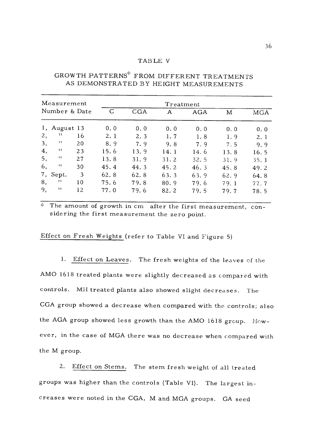#### TABLE V

| Measurement |                           |    |      |            | Treatment |            |      |      |
|-------------|---------------------------|----|------|------------|-----------|------------|------|------|
|             | Number & Date             |    | C    | <b>CGA</b> | A         | <b>AGA</b> | M    | MGA  |
| 1,          | August 13                 |    | 0.0  | 0.0        | 0.0       | 0.0        | 0.0  | 0.0  |
| 2,          | $\mathbf{1}$              | 16 | 2.1  | 2.3        | 1.7       | 1.8        | 1.9  | 2.1  |
| 3,          | $^{\dagger}$ $^{\dagger}$ | 20 | 8.9  | 7.9        | 9.8       | 7.9        | 7.5  | 9.9  |
| 4,          | $\mathbf{1}$              | 23 | 15.6 | 13.9       | 14.1      | 14.6       | 13.8 | 16.5 |
| 5,          | 11                        | 27 | 13.8 | 31.9       | 31.2      | 32.5       | 31.9 | 35.1 |
| 6,          | $\ddot{\phantom{1}}$      | 30 | 45.4 | 44.3       | 45.2      | 46.3       | 45.8 | 49.2 |
| 7,          | Sept.                     | 3  | 62.8 | 62.8       | 63.3      | 63.9       | 62.9 | 64.8 |
| 8,          | -11                       | 10 | 75.6 | 79.8       | 80.9      | 79.6       | 79.1 | 77.7 |
| 9,          | 11                        | 12 | 77.0 | 79.6       | 82.2      | 79.5       | 79.7 | 78.5 |

# GROWTH PATTERNS\* FROM DIFFERENT TREATMENTS AS DEMONSTRATED BY HEIGHT MEASUREMENTS

 $\mathbf{x}^{\prime}_{\mathbf{c}}$ The amount of growth in cm after the first measurement, considering the first measurement the zero point.

Effect on Fresh Weights (refer to Table VI and Figure 5)

1. Effect on Leaves. The fresh weights of the leaves of the AMO 1618 treated plants were slightly decreased as compared with controls. MH treated plants also showed slight decreases. The CGA group showed a decrease when compared with the controls; also the AGA group showed less growth than the AMO 1618 group. However, in the case of MGA there was no decrease when compared with the M group.

2. Effect on Stems. The stem fresh weight of all treated groups was higher than the controls (Table VI). The largest increases were noted in the CGA, M and MGA groups. GA seed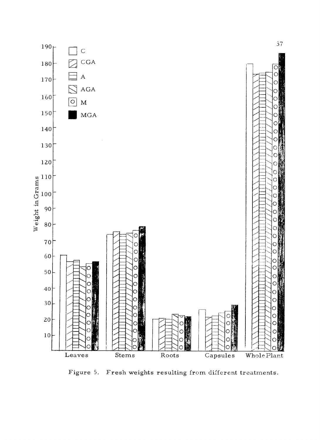

Figure 5. Fresh weights resulting from different treatments.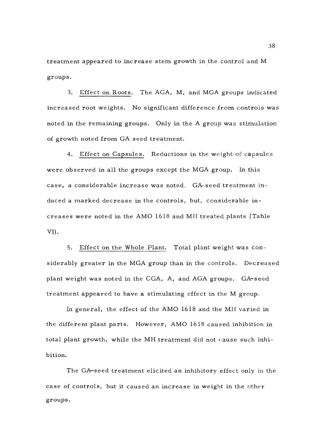treatment appeared to increase stem growth in the control and M groups.

3. Effect on Roots. The AGA, M, and MGA groups indicated increased root weights. No significant difference from controls was noted in the remaining groups. Only in the A group was stimulation of growth noted from GA seed treatment.

4. Effect on Capsules. Reductions in the weight of capsules were observed in all the groups except the MGA group. In this case, a considerable increase was noted. GA-seed treatment induced a marked decrease in the controls, but, considerable increases were noted in the AMO 1618 and MH treated plants (Table VI).

5. Effect on the Whole Plant. Total plant weight was considerably greater in the MGA group than in the controls. Decreased plant weight was noted in the CGA, A, and AGA groups. GA-seed treatment appeared to have a stimulating effect in the M group.

In general, the effect of the AMO 1618 and the MH varied in the different plant parts. However, AMO 1618 caused inhibition in total plant growth, while the MH treatment did not cause such inhibition.

The GA-seed treatment elicited an inhibitory effect only in the case of controls, but it caused an increase in weight in the other groups.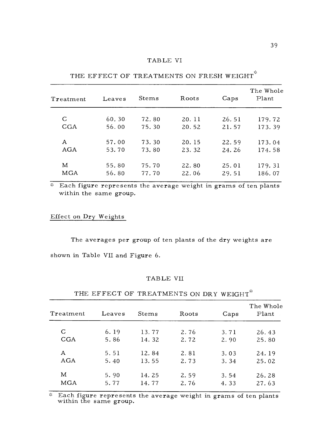| Treatment | Leaves | Stems | Roots | Caps  | The Whole<br>Plant |
|-----------|--------|-------|-------|-------|--------------------|
| C         | 60.30  | 72.80 | 20.11 | 26.51 | 179.72             |
| CGA       | 56.00  | 75.30 | 20.52 | 21.57 | 173.39             |
| A         | 57.00  | 73.30 | 20.15 | 22.59 | 173.04             |
| AGA       | 53.70  | 73.80 | 23.32 | 24.26 | 174.58             |
| M         | 55.80  | 75.70 | 22.80 | 25.01 | 179.31             |
| MGA       | 56.80  | 77.70 | 22.06 | 29.51 | 186.07             |

THE EFFECT OF TREATMENTS ON FRESH WEIGHT<sup>\*</sup>

Each figure represents the average weight in grams of ten plants \* within the same group.

# Effect on Dry Weights

The averages per group of ten plants of the dry weights are shown in Table VII and Figure 6.

#### TABLE VII

| Treatment  | Leaves | <b>Stems</b> | Roots | Caps | The Whole<br>Plant |
|------------|--------|--------------|-------|------|--------------------|
| C          | 6.19   | 13.77        | 2.76  | 3.71 | 26.43              |
| <b>CGA</b> | 5.86   | 14.32        | 2.72  | 2.90 | 25.80              |
| Α          | 5.51   | 12.84        | 2.81  | 3.03 | 24.19              |
| AGA        | 5.40   | 13.55        | 2.73  | 3.34 | 25.02              |
| M          | 5.90   | 14.25        | 2.59  | 3.54 | 26.28              |
| MGA        | 5.77   | 14.77        | 2.76  | 4.33 | 27.63              |

THE EFFECT OF TREATMENTS ON DRY WEIGHT\*

Each figure represents the average weight in grams of ten plants within the same group.  $\mathcal{H}$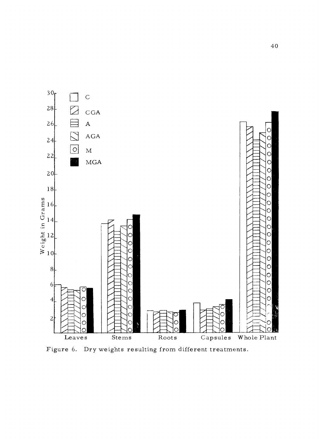

Figure 6. Dry weights resulting from different treatments.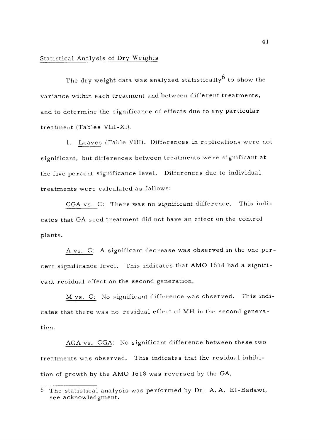## Statistical Analysis of Dry Weights

The dry weight data was analyzed statistically to show the variance within each treatment and between different treatments, and to determine the significance of effects due to any particular treatment (Tables VIII -XI).

1. Leaves (Table VIII). Differences in replications were not significant, but differences between treatments were significant at the five percent significance level. Differences due to individual treatments were calculated as follows:

CGA vs. C: There was no significant difference. This indicates that GA seed treatment did not have an effect on the control plants.

A vs. C: A significant decrease was observed in the one percent significance level. This indicates that AMO 1618 had a significant residual effect on the second generation.

M vs. C: No significant difference was observed. This indicates that there was no residual effect of MH in the second generation.

AGA vs. CGA: No significant difference between these two treatments was observed. This indicates that the residual inhibition of growth by the AMO 1618 was reversed by the GA.

 $6$  The statistical analysis was performed by Dr. A.A. El-Badawi, see acknowledgment.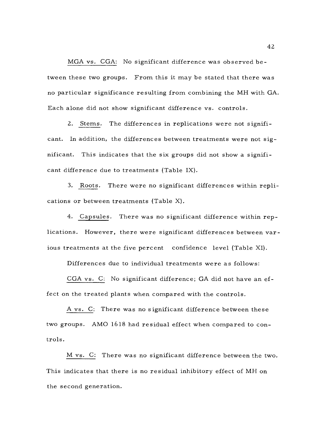MGA vs. CGA: No significant difference was observed between these two groups. From this it may be stated that there was no particular significance resulting from combining the MH with GA. Each alone did not show significant difference vs. controls.

2. Stems. The differences in replications were not significant. In addition, the differences between treatments were not significant. This indicates that the six groups did not show a significant difference due to treatments (Table IX).

3. Roots. There were no significant differences within replications or between treatments (Table X).

4. Capsules. There was no significant difference within replications. However, there were significant differences between various treatments at the five percent confidence level (Table XI).

Differences due to individual treatments were as follows:

CGA vs. C: No significant difference; GA did not have an effect on the treated plants when compared with the controls.

A vs. C: There was no significant difference between these two groups. AMO 1618 had residual effect when compared to controls.

M vs. C: There was no significant difference between the two. This indicates that there is no residual inhibitory effect of MH on the second generation.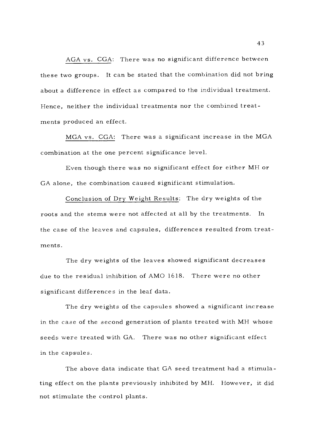AGA vs. CGA: There was no significant difference between these two groups. It can be stated that the combination did not bring about a difference in effect as compared to the individual treatment. Hence, neither the individual treatments nor the combined treatments produced an effect.

MGA vs. CGA: There was a significant increase in the MGA combination at the one percent significance level.

Even though there was no significant effect for either MH or GA alone, the combination caused significant stimulation.

Conclusion of Dry Weight Results: The dry weights of the roots and the stems were not affected at all by the treatments. In the case of the leaves and capsules, differences resulted from treatments.

The dry weights of the leaves showed significant decreases due to the residual inhibition of AMO 1618. There were no other significant differences in the leaf data.

The dry weights of the capsules showed a significant increase in the case of the second generation of plants treated with MH whose seeds were treated with GA. There was no other significant effect in the capsules.

The above data indicate that GA seed treatment had a stimulating effect on the plants previously inhibited by MH. However, it did not stimulate the control plants.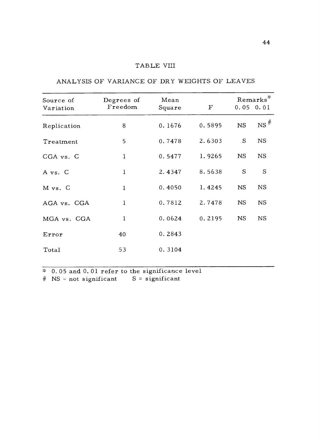## TABLE VIII

| Source of<br>Variation | Degrees of<br>Freedom | Mean<br>Square | $\mathbf F$ | Remarks*<br>0.05.0.01 |                   |
|------------------------|-----------------------|----------------|-------------|-----------------------|-------------------|
| Replication            | 8                     | 0.1676         | 0.5895      | <b>NS</b>             | $NS$ <sup>#</sup> |
| Treatment              | 5                     | 0.7478         | 2.6303      | S                     | <b>NS</b>         |
| CGA vs. C              | $\mathbf{1}$          | 0.5477         | 1.9265      | NS.                   | <b>NS</b>         |
| A vs. C                | 1                     | 2.4347         | 8.5638      | S                     | S                 |
| M vs. C                | $\mathbf{1}$          | 0.4050         | 1.4245      | <b>NS</b>             | <b>NS</b>         |
| AGA vs. CGA            | $\mathbf{1}$          | 0.7812         | 2.7478      | <b>NS</b>             | <b>NS</b>         |
| MGA vs. CGA            | $\mathbf{1}$          | 0.0624         | 0.2195      | <b>NS</b>             | <b>NS</b>         |
| Error                  | 40                    | 0.2843         |             |                       |                   |
| Total                  | 53                    | 0.3104         |             |                       |                   |

ANALYSIS OF VARIANCE OF DRY WEIGHTS OF LEAVES

 $\overline{\text{*}$  0.05 and 0.01 refer to the significance level  $#$  NS = not significant S = significant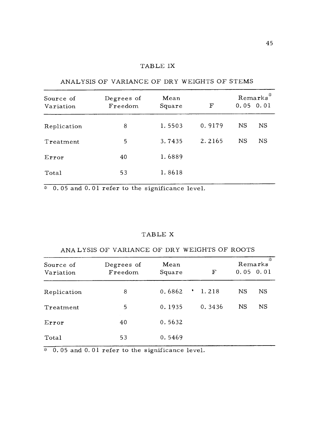# TABLE IX

| Source of<br>Variation | Mean<br>Degrees of<br>Freedom<br>Square |        | F      | $\mathrm{Remarks}^*$<br>$0.05$ $0.01$ |  |  |
|------------------------|-----------------------------------------|--------|--------|---------------------------------------|--|--|
| Replication            | 8                                       | 1.5503 | 0.9179 | <b>NS</b><br><b>NS</b>                |  |  |
| Treatment              | 5                                       | 3.7435 | 2.2165 | <b>NS</b><br>NS                       |  |  |
| Error                  | 40                                      | 1.6889 |        |                                       |  |  |
| Total                  | 53                                      | 1.8618 |        |                                       |  |  |

ANALYSIS OF VARIANCE OF DRY WEIGHTS OF STEMS

\* 0.05 and 0.01 refer to the significance level.

## TABLE X

# ANALYSIS OF VARIANCE OF DRY WEIGHTS OF ROOTS

| Source of<br>Variation | Degrees of<br>Freedom | Mean<br>Square | F             | $\gamma_{\rm K}$<br>Remarks<br>$0.05$ 0.01 |
|------------------------|-----------------------|----------------|---------------|--------------------------------------------|
| Replication            | 8                     | 0.6862         | $\cdot$ 1.218 | <b>NS</b><br><b>NS</b>                     |
| Treatment              | 5                     | 0.1935         | 0.3436        | <b>NS</b><br><b>NS</b>                     |
| Error                  | 40                    | 0.5632         |               |                                            |
| Total                  | 53                    | 0.5469         |               |                                            |

0. 05 and 0. 01 refer to the significance level.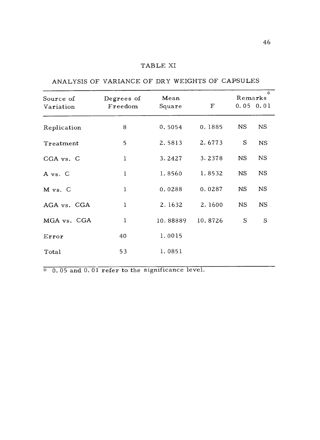# TABLE XI

# ANALYSIS OF VARIANCE OF DRY WEIGHTS OF CAPSULES

| Source of   | Degrees of   | Mean     |             | $\lesssim$<br>Remarks |               |
|-------------|--------------|----------|-------------|-----------------------|---------------|
| Variation   | Freedom      | Square   | $\mathbf F$ |                       | $0.05$ $0.01$ |
| Replication | 8            | 0.5054   | 0.1885      | <b>NS</b>             | <b>NS</b>     |
| Treatment   | 5            | 2.5813   | 2.6773      | S                     | <b>NS</b>     |
| CGA vs. C   | $\mathbf{1}$ | 3.2427   | 3.2378      | <b>NS</b>             | <b>NS</b>     |
| A vs. C     | $\mathbf{1}$ | 1.8560   | 1.8532      | <b>NS</b>             | <b>NS</b>     |
| M vs. C     | $\mathbf{1}$ | 0.0288   | 0.0287      | <b>NS</b>             | <b>NS</b>     |
| AGA vs. CGA | $\mathbf{1}$ | 2.1632   | 2.1600      | <b>NS</b>             | <b>NS</b>     |
| MGA vs. CGA | $\mathbf{1}$ | 10.88889 | 10.8726     | S                     | S             |
| Error       | 40           | 1.0015   |             |                       |               |
| Total       | 53           | 1.0851   |             |                       |               |
|             |              |          |             |                       |               |

 $\overline{\text{*} \ 0.05 \text{ and } 0.01 \text{ refer to the significance level.}}$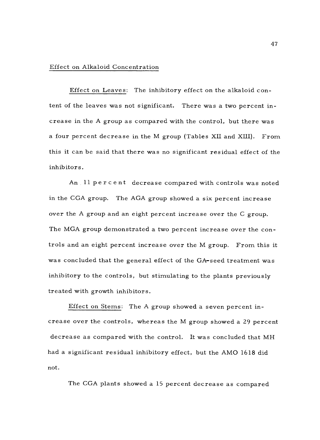#### Effect on Alkaloid Concentration

Effect on Leaves: The inhibitory effect on the alkaloid content of the leaves was not significant. There was a two percent increase in the A group as compared with the control, but there was a four percent decrease in the M group (Tables XII and XIII). From this it can be said that there was no significant residual effect of the inhibitors.

An 11 percent decrease compared with controls was noted in the CGA group. The AGA group showed a six percent increase over the A group and an eight percent increase over the C group. The MGA group demonstrated a two percent increase over the controls and an eight percent increase over the M group. From this it was concluded that the general effect of the GA-seed treatment was inhibitory to the controls, but stimulating to the plants previously treated with growth inhibitors.

Effect on Stems: The A group showed a seven percent increase over the controls, whereas the M group showed a 29 percent decrease as compared with the control. It was concluded that MH had a significant residual inhibitory effect, but the AMO 1618 did not.

The CGA plants showed a 15 percent decrease as compared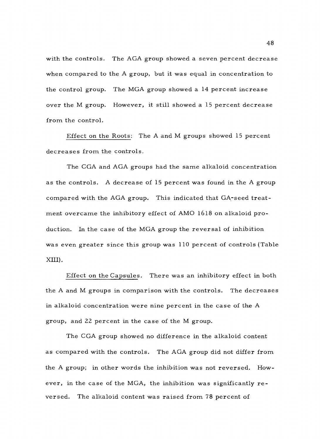with the controls. The AGA group showed a seven percent decrease when compared to the A group, but it was equal in concentration to the control group. The MGA group showed a 14 percent increase over the M group. However, it still showed a 15 percent decrease from the control.

Effect on the Roots: The A and M groups showed 15 percent decreases from the controls.

The CGA and AGA groups had the same alkaloid concentration as the controls. A decrease of 15 percent was found in the A group compared with the AGA group. This indicated that GA-seed treatment overcame the inhibitory effect of AMO 1618 on alkaloid production. In the case of the MGA group the reversal of inhibition was even greater since this group was 110 percent of controls (Table XIII).

Effect on the Capsules. There was an inhibitory effect in both the A and M groups in comparison with the controls. The decreases in alkaloid concentration were nine percent in the case of the A group, and 22 percent in the case of the M group.

The CGA group showed no difference in the alkaloid content as compared with the controls. The AGA group did not differ from the A group; in other words the inhibition was not reversed. However, in the case of the MGA, the inhibition was significantly reversed. The alkaloid content was raised from 78 percent of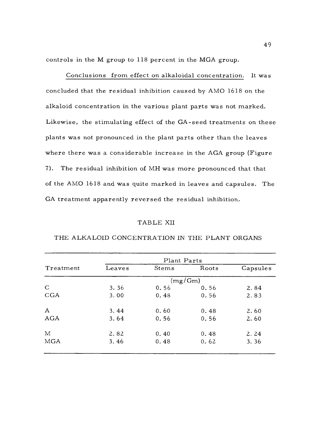controls in the M group to 118 percent in the MGA group.

Conclusions from effect on alkaloidal concentration. It was concluded that the residual inhibition caused by AMO 1618 on the alkaloid concentration in the various plant parts was not marked. Likewise, the stimulating effect of the GA -seed treatments on these plants was not pronounced in the plant parts other than the leaves where there was a considerable increase in the AGA group (Figure 7). The residual inhibition of MH was more pronounced that that of the AMO 1618 and was quite marked in leaves and capsules. The GA treatment apparently reversed the residual inhibition.

## TABLE XII

|              | Plant Parts |         |       |          |  |  |  |  |  |  |
|--------------|-------------|---------|-------|----------|--|--|--|--|--|--|
| Treatment    | Leaves      | Stems   | Roots | Capsules |  |  |  |  |  |  |
|              |             | (mg/Gm) |       |          |  |  |  |  |  |  |
| $\mathsf{C}$ | 3.36        | 0.56    | 0.56  | 2.84     |  |  |  |  |  |  |
| CGA          | 3.00        | 0.48    | 0.56  | 2.83     |  |  |  |  |  |  |
| $\mathbf{A}$ | 3.44        | 0.60    | 0.48  | 2.60     |  |  |  |  |  |  |
| AGA          | 3.64        | 0.56    | 0.56  | 2.60     |  |  |  |  |  |  |
| M            | 2.82        | 0.40    | 0.48  | 2.24     |  |  |  |  |  |  |
| <b>MGA</b>   | 3.46        | 0.48    | 0.62  | 3.36     |  |  |  |  |  |  |

## THE ALKALOID CONCENTRATION IN THE PLANT ORGANS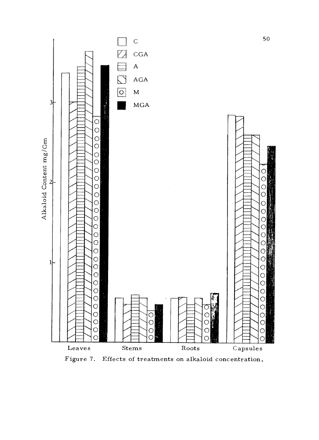

Figure 7. Effects of treatments on alkaloid concentration.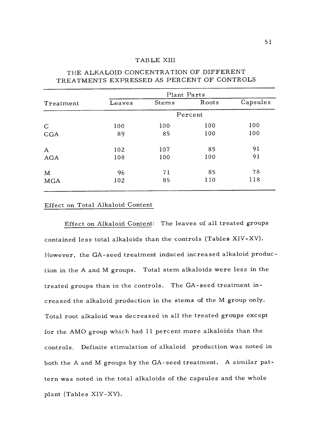## TABLE XIII

|                  | Plant Parts |       |       |          |  |  |  |
|------------------|-------------|-------|-------|----------|--|--|--|
| Treatment        | Leaves      | Stems | Roots | Capsules |  |  |  |
|                  | Percent     |       |       |          |  |  |  |
| $\mathsf{C}$     | 100         | 100   | 100   | 100      |  |  |  |
| CGA              | 89          | 85    | 100   | 100      |  |  |  |
| $\boldsymbol{A}$ | 102         | 107   | 85    | 91       |  |  |  |
| AGA              | 108         | 100   | 100   | 91       |  |  |  |
| M                | 96          | 71    | 85    | 78       |  |  |  |
| <b>MGA</b>       | 102         | 85    | 110   | 118      |  |  |  |

# THE ALKALOID CONCENTRATION OF DIFFERENT TREATMENTS EXPRESSED AS PERCENT OF CONTROLS

## Effect on Total Alkaloid Content

Effect on Alkaloid Content: The leaves of all treated groups contained less total alkaloids than the controls (Tables XIV -XV). However, the GA -seed treatment induced increased alkaloid production in the A and M groups. Total stem alkaloids were less in the treated groups than in the controls. The GA -seed treatment increased the alkaloid production in the stems of the M group only. Total root alkaloid was decreased in all the treated groups except for the AMO group which had 11 percent more alkaloids than the controls. Definite stimulation of alkaloid production was noted in both the A and M groups by the GA -seed treatment. A similar pattern was noted in the total alkaloids of the capsules and the whole plant (Tables XIV -XV).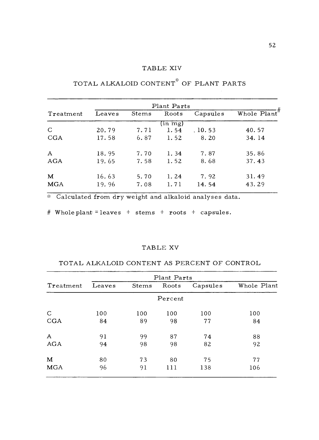## TABLE XIV

| Plant Parts  |        |       |              |          |                 |  |  |
|--------------|--------|-------|--------------|----------|-----------------|--|--|
| Treatment    | Leaves | Stems | Roots        | Capsules | Whole $Plant''$ |  |  |
|              |        |       | $(in \; mg)$ |          |                 |  |  |
| $\mathsf{C}$ | 20.79  | 7.71  | 1.54         | .10.53   | 40.57           |  |  |
| CGA          | 17.58  | 6.87  | 1.52         | 8.20     | 34.14           |  |  |
|              |        |       |              |          |                 |  |  |
| $\mathbf{A}$ | 18.95  | 7.70  | 1.34         | 7.87     | 35.86           |  |  |
| AGA          | 19.65  | 7.58  | 1.52         | 8.68     | 37.43           |  |  |
| $\mathbf M$  | 16.63  | 5.70  | 1.24         | 7.92     | 31.49           |  |  |
| <b>MGA</b>   | 19.96  | 7.08  | 1.71         | 14.54    | 43.29           |  |  |

# TOTAL ALKALOID CONTENT" OF PLANT PARTS

Calculated from dry weight and alkaloid analyses data.

# Whole plant = leaves + stems + roots + capsules.

## TABLE XV

## TOTAL ALKALOID CONTENT AS PERCENT OF CONTROL

| Leaves | Stems | Roots | Capsules | Whole Plant |
|--------|-------|-------|----------|-------------|
|        |       |       |          |             |
| 100    | 100   | 100   | 100      | 100         |
| 84     | 89    | 98    | 77       | 84          |
| 91     | 99    | 87    | 74       | 88          |
| 94     | 98    | 98    | 82       | 92          |
| 80     | 73    | 80    | 75       | 77          |
| 96     | 91    | 111   | 138      | 106         |
|        |       |       | Percent  | Plant Parts |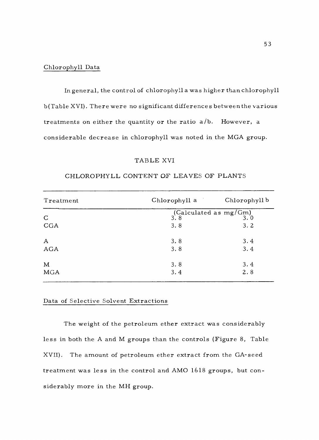#### Chlorophyll Data

In general, the control of chlorophyll a was higher than chlorophyll b(Table XVI). There were no significant differences between the various treatments on either the quantity or the ratio  $a/b$ . However, a considerable decrease in chlorophyll was noted in the MGA group.

#### TABLE XVI

| Treatment    | Chlorophyll a                                       | Chlorophyll b |
|--------------|-----------------------------------------------------|---------------|
|              | (Calculated as $\operatorname{mg/Gm)}\limits_{3.8}$ |               |
| $\mathsf{C}$ | 3.8                                                 |               |
| CGA          | 3.8                                                 | 3.2           |
| $\mathbf A$  | 3.8                                                 | 3.4           |
| AGA          | 3.8                                                 | 3.4           |
| M            | 3.8                                                 | 3.4           |
| MGA          | 3.4                                                 | 2.8           |

# CHLOROPHYLL CONTENT OF LEAVES OF PLANTS

## Data of Selective Solvent Extractions

The weight of the petroleum ether extract was considerably less in both the A and M groups than the controls (Figure 8, Table XVII). The amount of petroleum ether extract from the GA-seed treatment was less in the control and AMO 1618 groups, but considerably more in the MH group.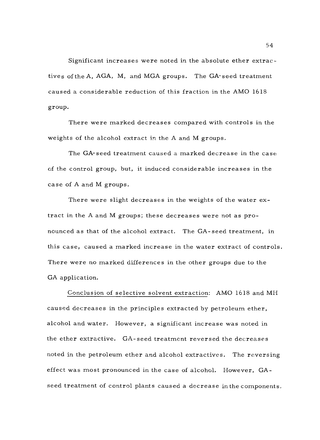Significant increases were noted in the absolute ether extractives of the A, AGA, M, and MGA groups. The GA-seed treatment caused a considerable reduction of this fraction in the AMO 1618 group.

There were marked decreases compared with controls in the weights of the alcohol extract in the A and M groups.

The GA-seed treatment caused a marked decrease in the case of the control group, but, it induced considerable increases in the case of A and M groups.

There were slight decreases in the weights of the water extract in the A and M groups; these decreases were not as pronounced as that of the alcohol extract. The GA-seed treatment, in this case, caused a marked increase in the water extract of controls. There were no marked differences in the other groups due to the GA application.

Conclusion of selective solvent extraction: AMO 1618 and MH caused decreases in the principles extracted by petroleum ether, alcohol and water. However, a significant increase was noted in the ether extractive. GA -seed treatment reversed the decreases noted in the petroleum ether and alcohol extractives. The reversing effect was most pronounced in the case of alcohol. However, GAseed treatment of control plants caused a decrease in the components.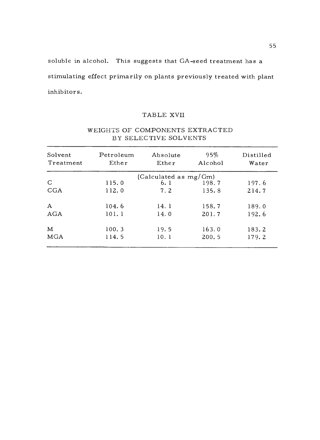soluble in alcohol. This suggests that GA -seed treatment has a stimulating effect primarily on plants previously treated with plant inhibitors .

## TABLE XVII

| Solvent      | Petroleum<br>Ether | Absolute<br>Ether        | 95%<br>Alcohol | Distilled<br>Water |
|--------------|--------------------|--------------------------|----------------|--------------------|
| Treatment    |                    |                          |                |                    |
|              |                    | (Calculated as $mg/Gm$ ) |                |                    |
| $\mathsf{C}$ | 115.0              | 6.1                      | 198.7          | 197.6              |
| CGA          | 112.0              | 7.2                      | 135.8          | 214.7              |
| $\mathbf{A}$ | 104.6              | 14.1                     | 158.7          | 189.0              |
| AGA          | 101.1              | 14.0                     | 201.7          | 192.6              |
| M            | 100.3              | 19.5                     | 163.0          | 183.2              |
| <b>MGA</b>   | 114.5              | 10.1                     | 200.5          | 179.2              |

# WEIGHTS OF COMPONENTS EXTRACTED BY SELECTIVE SOLVENTS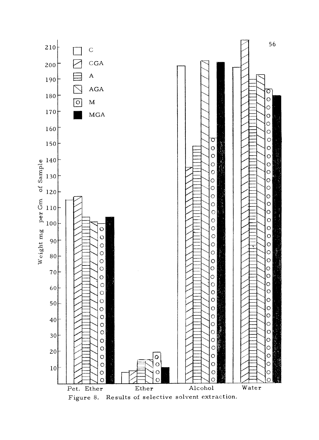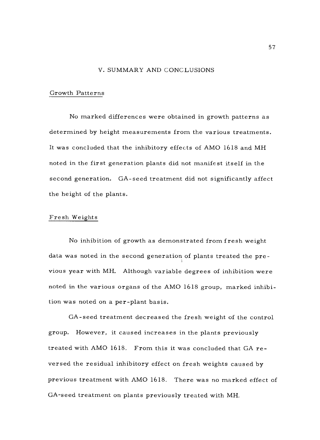#### V. SUMMARY AND CONCLUSIONS

## Growth Patterns

No marked differences were obtained in growth patterns as determined by height measurements from the various treatments. It was concluded that the inhibitory effects of AMO 1618 and MH noted in the first generation plants did not manifest itself in the second generation. GA-seed treatment did not significantly affect the height of the plants.

#### Fresh Weights

No inhibition of growth as demonstrated from fresh weight data was noted in the second generation of plants treated the previous year with MH. Although variable degrees of inhibition were noted in the various organs of the AMO 1618 group, marked inhibition was noted on a per -plant basis.

GA -seed treatment decreased the fresh weight of the control group. However, it caused increases in the plants previously treated with AMO 1618. From this it was concluded that GA reversed the residual inhibitory effect on fresh weights caused by previous treatment with AMO 1618. There was no marked effect of GA -seed treatment on plants previously treated with MH.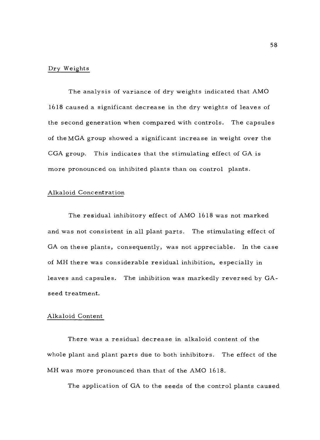## Dry Weights

The analysis of variance of dry weights indicated that AMO 1618 caused a significant decrease in the dry weights of leaves of the second generation when compared with controls. The capsules of the MGA group showed a significant increase in weight over the CGA group. This indicates that the stimulating effect of GA is more pronounced on inhibited plants than on control plants.

## Alkaloid Concentration

The residual inhibitory effect of AMO 1618 was not marked and was not consistent in all plant parts. The stimulating effect of GA on these plants, consequently, was not appreciable. In the case of MH there was considerable residual inhibition, especially in leaves and capsules. The inhibition was markedly reversed by GAseed treatment.

#### Alkaloid Content

There was a residual decrease in alkaloid content of the whole plant and plant parts due to both inhibitors. The effect of the MH was more pronounced than that of the AMO 1618.

The application of GA to the seeds of the control plants caused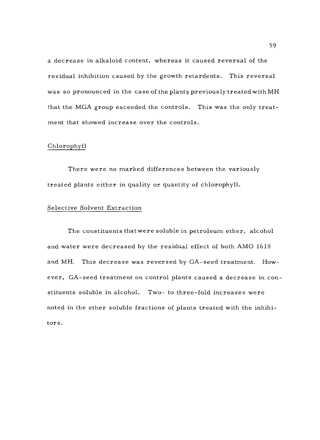a decrease in alkaloid content, whereas it caused reversal of the residual inhibition caused by the growth retardents. This reversal was so pronounced in the case of the plants previously treated with MH that the MGA group exceeded the controls. This was the only treatment that showed increase over the controls.

## Chlorophyll

There were no marked differences between the variously treated plants either in quality or quantity of chlorophyll.

## Selective Solvent Extraction

The constituents that were soluble in petroleum ether, alcohol and water were decreased by the residual effect of both AMO 1618 and MH. This decrease was reversed by GA -seed treatment. However, GA -seed treatment on control plants caused a decrease in constituents soluble in alcohol. Two- to three -fold increases were noted in the ether soluble fractions of plants treated with the inhibitors.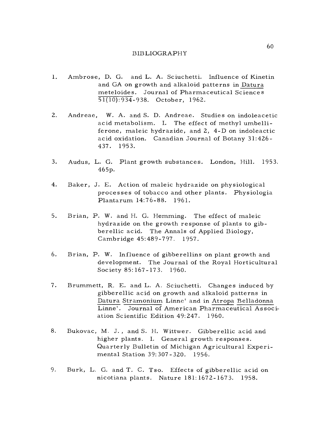## BIBLIOGRAPHY

- 1. Ambrose, D. G. and L. A. Sciuchetti. Influence of Kinetin and GA on growth and alkaloid patterns in Datura meteloides. Journal of Pharmaceutical Sciences 51(10):934 -938. October, 1962.
- 2. Andreae, W. A. and S. D. Andreae. Studies on indoleacetic acid metabolism. I. The effect of methyl umbelliferone, maleic hydrazide, and 2, 4 -D on indoleactic acid oxidation. Canadian Journal of Botany 31:426- 437. 1953.
- 3. Audus, L. G. Plant growth substances. London, Hill. 1953. 465p.
- 4. Baker, J. E. Action of maleic hydrazide on physiological processes of tobacco and other plants. Physiologia Plantarum 14:76 -88. 1961.
- 5. Brian, P. W. and H. G. Hemming. The effect of maleic hydrazide on the growth response of plants to gib-<br>berellic acid. The Annals of Applied Biology, Cambridge 45:489 -797. 1957.
- 6. Brian, P. W. Influence of gibberellins on plant growth and development. The Journal of the Royal Horticultural Society 85:167 -173. 1960.
- 7. Brummett, R. E. and L. A. Sciuchetti. Changes induced by gibberellic acid on growth and alkaloid patterns in Datura Stramonium Linne' and in Atropa Belladonna Linne'. Journal of American Pharmaceutical Association Scientific Edition 49:247. 1960.
- 8. Bukovac, M. J., and S. H. Wittwer. Gibberellic acid and higher plants. I. General growth responses. Quarterly Bulletin of Michigan Agricultural Experimental Station 39:307-320. 1956.
- 9. Burk, L. G. and T. C. Tso. Effects of gibberellic acid on nicotiana plants. Nature 181:1672 -1673. 1958.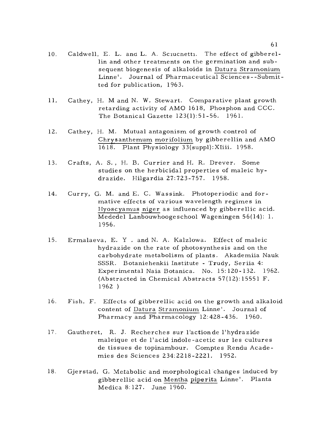- 10. Caldwell, E. L. and L. A. Sciucnetti. The effect of gibberellin and other treatments on the germination and subsequent biogenesis of alkaloids in Datura Stramonium Linne'. Journal of Pharmaceutical Sciences-- Submitted for publication, 1963.
- 11. Cathey, H. M and N. W. Stewart. Comparative plant growth retarding activity of AMO 1618, Phosphon and CCC. The Botanical Gazette 123(1):51 -56. 1961.
- 12. Cathey, H. M. Mutual antagonism of growth control of Chrysanthemum morifolium by gibberellin and AMO 1618. Plant Physiology 33(suppl): XIiii. 1958.
- 13. Crafts, A. S. , H. B. Currier and H. R. Dreyer. Some studies on the herbicidal properties of maleic hydrazide. Hilgardia 27:723 -757. 1958.
- 14. Curry, G. M. and E. C. Wassink. Photoperiodic and formative effects of various wavelength regimes in Hyoscyamus niger as influenced by gibberellic acid. Mededel Lanbouwhoogeschool Wageningen 56(14): 1. 1956.
- 15. Ermalaeva, E. Y . and N. A. Kalzlowa. Effect of maleic hydrazide on the rate of photosynthesis and on the carbohydrate metabolism of plants. Akademiia Nauk SSSR. Botaniehenkii Institute - Trudy, Seriia 4: Experimental Naia Botanica. No. 15:120-132. 1962. (Abstracted in Chemical Abstracts 57(12):15551 F. 1962 )
- 16. Fish, F. Effects of gibberellic acid on the growth and alkaloid content of Datura Stramonium Linne'. Journal of Pharmacy and Pharmacology 12:428-436. 1960.
- 17. Gautheret, R. J. Recherches sur l'actionde l'hydrazide maleique et de l'acid indole- acetic sur les cultures de tissues de topinambour. Comptes Rendu Academies des Sciences 234:2218 -2221. 1952.
- 18. Gjerstad, G. Metabolic and morphological changes induced by gibberellic acid:on Mentha piperita Linne'. Planta Medica 8:127. June 1960.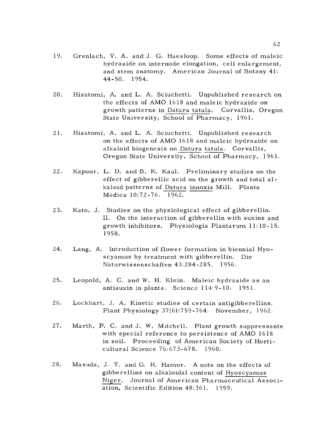- 19. Grenlach, V. A. and J. G. Haesloop. Some effects of maleic hydrazide on internode elongation, cell enlargement, and stem anatomy. American Journal of Botany 41: 44 -50. 1954.
- 20. Hisatomi, A. and L. A. Sciuchetti. Unpublished research on the effects of AMO 1618 and maleic hydrazide on growth patterns in Datura tatula. Corvallis, Oregon State University, School of Pharmacy, 1961.
- 21. Hisatomi, A. and L. A. Sciuchetti. Unpublished research on the effects of AMO 1618 and maleic hydrazide on alkaloid biogenesis on Datura tatula. Corvallis, Oregon State University, School of Pharmacy, 1961.
- 22. Kapoor, L. D. and B. K. Kaul. Preliminary studies on the effect of gibberellic acid on the growth and total alkaloid patterns of Datura innoxia Mill. Planta Medica 10:72 -76. 1962.
- 23. Kato, J. Studies on the physiological effect of gibberellin. II. On the interaction of gibberellin with auxins and growth inhibitors. Physiologia Plantarum 11:10 -15. 1958.
- 24. Lang, A. Introduction of flower formation in biennial Hyoscyamus by treatment with gibberellin. Die Naturwissenschaften 43:284 -285. 1956.
- 25. Leopold, A. C. and W. H. Klein. Maleic hydrazide as an antiauxin in plants. Science 114:9-10. 1951.
- 26. Lockhart, J. A. Kinetic studies of certain antigibberellins. Plant Physiology 37(6):759 -764. November, 1962.
- 27. Marth, P. C. and J. W. Mitchell. Plant growth suppressants with special reference to persistence of AMO 1618 in soil. Proceeding of American Society of Horticultural Science 76:673 -678. 1960.
- 28. Masuda, J. Y. and G. H. Hamor. A note on the effects of gibberellins on alkaloidal content of Hyoscyamus Niger. Journal of American Pharmaceutical Association, Scientific Edition 48:361. 1959.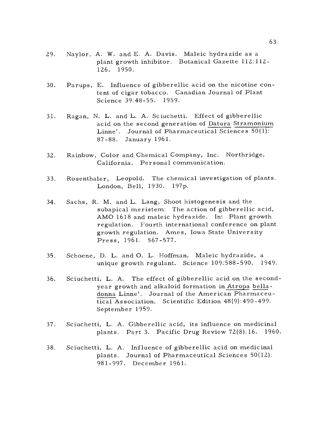- 29. Naylor, A. W. and E. A. Davis. Maleic hydrazide as a plant growth inhibitor. Botanical Gazette 112:112- 126. 1950.
- 30. Parups, E. Influence of gibberellic acid on the nicotine content of cigar tobacco. Canadian Journal of Plant Science 39:48 -55. 1959.
- 31. Ragan, N. L. and L. A. Sciuchetti. Effect of gibberellic acid on the second generation of Datura Stramonium Linne'. Journal of Pharmaceutical Sciences 50(1): 87-88. January 1961.
- 32. Rainbow, Color and Chemical Company, Inc. Northridge, California. Personal communication.
- 33. Rosenthaler, Leopold. The chemical investigation of plants. London, Bell, 1930. 197p.
- 34. Sachs, R. M. and L. Lang, Shoot histogenesis and the subapical meristem: The action of gibberellic acid, AMO 1618 and maleic hydrazide. In: Plant growth regulation. Fourth international conference on plant growth regulation. Ames, Iowa State University Press, 1961. 567 -577.
- 35. Schoene, D. L. and O. L. Hoffman. Maleic hydrazide, a unique growth regulant. Science 109:588 -590. 1949.
- 36. Sciuchetti, L. A. The effect of gibberellic acid on the second-<br>year growth and alkaloid formation in Atropa belladonna Linne'. Journal of the American Pharmaceutical Association. Scientific Edition 48(9):490 -499. September 1959.
- 37. Sciuchetti, L. A. Gibberellic acid, its influence on medicinal plants. Part 3. Pacific Drug Review 72(8):16. 1960.
- 38. Sciuchetti, L. A. Influence of gibberellic acid on medicinal plants. Journal of Pharmaceutical Sciences 50(12): 981 -997. December 1961.